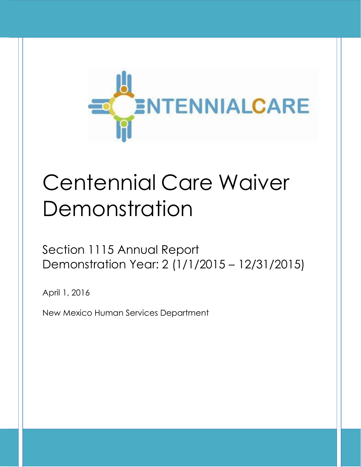

# Centennial Care Waiver Demonstration

Section 1115 Annual Report Demonstration Year: 2 (1/1/2015 – 12/31/2015)

April 1, 2016

New Mexico Human Services Department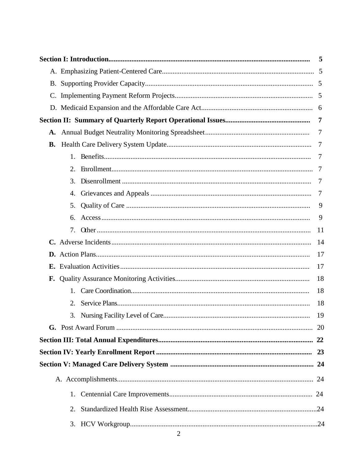|    |    | 5              |
|----|----|----------------|
|    |    |                |
|    |    |                |
|    |    |                |
|    |    |                |
|    |    | 7              |
| A. |    | $\overline{7}$ |
| В. |    | 7              |
|    | 1. | -7             |
|    | 2. | 7              |
|    | 3. | 7              |
|    | 4. | 7              |
|    | 5. | 9              |
|    | 6. | 9              |
|    | 7. | 11             |
|    |    | 14             |
|    |    | 17             |
| Е. |    | 17             |
|    |    | 18             |
|    | 1. | 18             |
|    | 2. | 18             |
|    | 3. | 19             |
|    |    |                |
|    |    |                |
|    |    |                |
|    |    |                |
|    |    |                |
|    | 1. |                |
|    | 2. |                |
|    | 3. |                |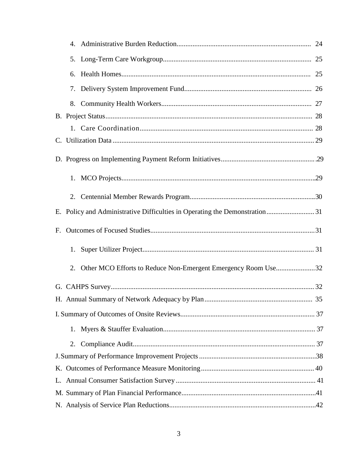| 4.                                                                  |  |
|---------------------------------------------------------------------|--|
|                                                                     |  |
| 6.                                                                  |  |
|                                                                     |  |
|                                                                     |  |
|                                                                     |  |
|                                                                     |  |
|                                                                     |  |
|                                                                     |  |
|                                                                     |  |
|                                                                     |  |
|                                                                     |  |
| F.                                                                  |  |
| 1.                                                                  |  |
| Other MCO Efforts to Reduce Non-Emergent Emergency Room Use32<br>2. |  |
|                                                                     |  |
|                                                                     |  |
|                                                                     |  |
| 1.                                                                  |  |
| 2.                                                                  |  |
|                                                                     |  |
|                                                                     |  |
| L.                                                                  |  |
|                                                                     |  |
|                                                                     |  |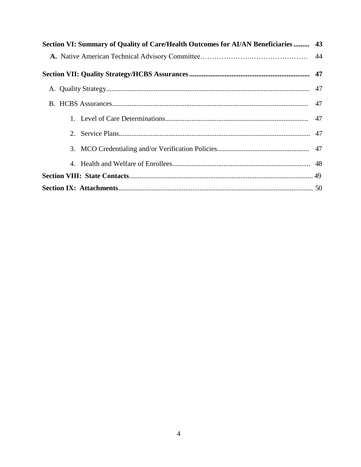| Section VI: Summary of Quality of Care/Health Outcomes for AI/AN Beneficiaries  43 |  |
|------------------------------------------------------------------------------------|--|
|                                                                                    |  |
|                                                                                    |  |
|                                                                                    |  |
|                                                                                    |  |
|                                                                                    |  |
|                                                                                    |  |
|                                                                                    |  |
|                                                                                    |  |
|                                                                                    |  |
|                                                                                    |  |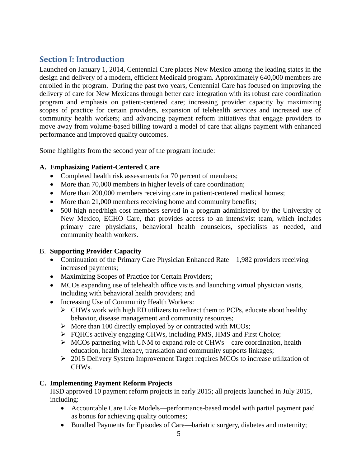# **Section I: Introduction**

Launched on January 1, 2014, Centennial Care places New Mexico among the leading states in the design and delivery of a modern, efficient Medicaid program. Approximately 640,000 members are enrolled in the program. During the past two years, Centennial Care has focused on improving the delivery of care for New Mexicans through better care integration with its robust care coordination program and emphasis on patient-centered care; increasing provider capacity by maximizing scopes of practice for certain providers, expansion of telehealth services and increased use of community health workers; and advancing payment reform initiatives that engage providers to move away from volume-based billing toward a model of care that aligns payment with enhanced performance and improved quality outcomes.

Some highlights from the second year of the program include:

# **A. Emphasizing Patient-Centered Care**

- Completed health risk assessments for 70 percent of members;
- More than 70,000 members in higher levels of care coordination;
- More than 200,000 members receiving care in patient-centered medical homes;
- More than 21,000 members receiving home and community benefits;
- 500 high need/high cost members served in a program administered by the University of New Mexico, ECHO Care, that provides access to an intensivist team, which includes primary care physicians, behavioral health counselors, specialists as needed, and community health workers.

# B. **Supporting Provider Capacity**

- Continuation of the Primary Care Physician Enhanced Rate—1,982 providers receiving increased payments;
- Maximizing Scopes of Practice for Certain Providers;
- MCOs expanding use of telehealth office visits and launching virtual physician visits, including with behavioral health providers; and
- Increasing Use of Community Health Workers:
	- $\triangleright$  CHWs work with high ED utilizers to redirect them to PCPs, educate about healthy behavior, disease management and community resources;
	- $\triangleright$  More than 100 directly employed by or contracted with MCOs;
	- $\triangleright$  FOHCs actively engaging CHWs, including PMS, HMS and First Choice;
	- $\triangleright$  MCOs partnering with UNM to expand role of CHWs—care coordination, health education, health literacy, translation and community supports linkages;
	- $\geq 2015$  Delivery System Improvement Target requires MCOs to increase utilization of CHWs.

# **C. Implementing Payment Reform Projects**

HSD approved 10 payment reform projects in early 2015; all projects launched in July 2015, including:

- Accountable Care Like Models—performance-based model with partial payment paid as bonus for achieving quality outcomes;
- Bundled Payments for Episodes of Care—bariatric surgery, diabetes and maternity;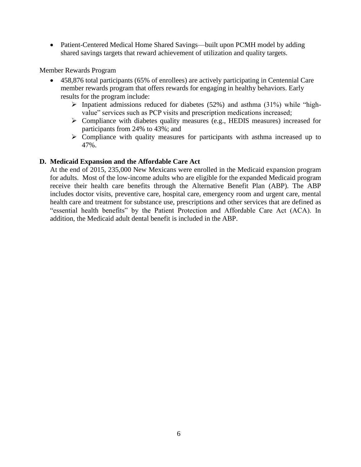• Patient-Centered Medical Home Shared Savings—built upon PCMH model by adding shared savings targets that reward achievement of utilization and quality targets.

Member Rewards Program

- 458,876 total participants (65% of enrollees) are actively participating in Centennial Care member rewards program that offers rewards for engaging in healthy behaviors. Early results for the program include:
	- $\triangleright$  Inpatient admissions reduced for diabetes (52%) and asthma (31%) while "highvalue" services such as PCP visits and prescription medications increased;
	- Compliance with diabetes quality measures (e.g., HEDIS measures) increased for participants from 24% to 43%; and
	- $\triangleright$  Compliance with quality measures for participants with asthma increased up to 47%.

#### **D. Medicaid Expansion and the Affordable Care Act**

At the end of 2015, 235,000 New Mexicans were enrolled in the Medicaid expansion program for adults. Most of the low-income adults who are eligible for the expanded Medicaid program receive their health care benefits through the Alternative Benefit Plan (ABP). The ABP includes doctor visits, preventive care, hospital care, emergency room and urgent care, mental health care and treatment for substance use, prescriptions and other services that are defined as "essential health benefits" by the Patient Protection and Affordable Care Act (ACA). In addition, the Medicaid adult dental benefit is included in the ABP.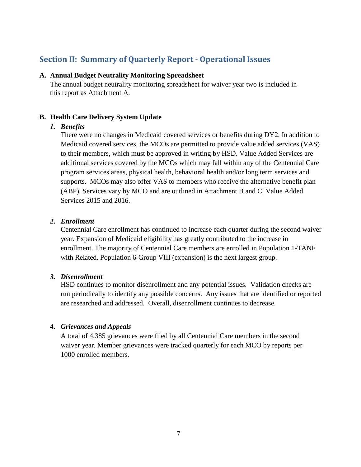# **Section II: Summary of Quarterly Report - Operational Issues**

#### **A. Annual Budget Neutrality Monitoring Spreadsheet**

The annual budget neutrality monitoring spreadsheet for waiver year two is included in this report as Attachment A.

# **B. Health Care Delivery System Update**

# *1. Benefits*

There were no changes in Medicaid covered services or benefits during DY2. In addition to Medicaid covered services, the MCOs are permitted to provide value added services (VAS) to their members, which must be approved in writing by HSD. Value Added Services are additional services covered by the MCOs which may fall within any of the Centennial Care program services areas, physical health, behavioral health and/or long term services and supports. MCOs may also offer VAS to members who receive the alternative benefit plan (ABP). Services vary by MCO and are outlined in Attachment B and C, Value Added Services 2015 and 2016.

# *2. Enrollment*

Centennial Care enrollment has continued to increase each quarter during the second waiver year. Expansion of Medicaid eligibility has greatly contributed to the increase in enrollment. The majority of Centennial Care members are enrolled in Population 1-TANF with Related. Population 6-Group VIII (expansion) is the next largest group.

# *3. Disenrollment*

HSD continues to monitor disenrollment and any potential issues. Validation checks are run periodically to identify any possible concerns. Any issues that are identified or reported are researched and addressed. Overall, disenrollment continues to decrease.

# *4. Grievances and Appeals*

A total of 4,385 grievances were filed by all Centennial Care members in the second waiver year. Member grievances were tracked quarterly for each MCO by reports per 1000 enrolled members.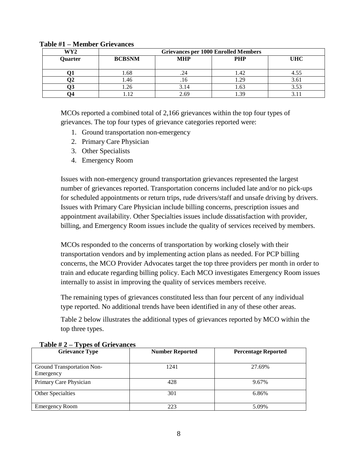| WY2     | <b>Grievances per 1000 Enrolled Members</b> |            |            |            |  |  |  |  |
|---------|---------------------------------------------|------------|------------|------------|--|--|--|--|
| Quarter | <b>BCBSNM</b>                               | <b>MHP</b> | <b>PHP</b> | <b>UHC</b> |  |  |  |  |
|         |                                             |            |            |            |  |  |  |  |
|         | 0.68                                        |            | 1.42       |            |  |  |  |  |
| ∠י      | . 46                                        | .10        | 1.29       | 3.0        |  |  |  |  |
|         | l .∠C                                       | 14،        | 1.63       |            |  |  |  |  |
|         |                                             | 2.69       | 30         |            |  |  |  |  |

#### **Table #1 – Member Grievances**

MCOs reported a combined total of 2,166 grievances within the top four types of grievances. The top four types of grievance categories reported were:

- 1. Ground transportation non-emergency
- 2. Primary Care Physician
- 3. Other Specialists
- 4. Emergency Room

Issues with non-emergency ground transportation grievances represented the largest number of grievances reported. Transportation concerns included late and/or no pick-ups for scheduled appointments or return trips, rude drivers/staff and unsafe driving by drivers. Issues with Primary Care Physician include billing concerns, prescription issues and appointment availability. Other Specialties issues include dissatisfaction with provider, billing, and Emergency Room issues include the quality of services received by members.

MCOs responded to the concerns of transportation by working closely with their transportation vendors and by implementing action plans as needed. For PCP billing concerns, the MCO Provider Advocates target the top three providers per month in order to train and educate regarding billing policy. Each MCO investigates Emergency Room issues internally to assist in improving the quality of services members receive.

The remaining types of grievances constituted less than four percent of any individual type reported. No additional trends have been identified in any of these other areas.

Table 2 below illustrates the additional types of grievances reported by MCO within the top three types.

| <b>Grievance Type</b>                   | <b>Number Reported</b> | <b>Percentage Reported</b> |
|-----------------------------------------|------------------------|----------------------------|
| Ground Transportation Non-<br>Emergency | 1241                   | 27.69%                     |
| Primary Care Physician                  | 428                    | 9.67%                      |
| Other Specialties                       | 301                    | 6.86%                      |
| <b>Emergency Room</b>                   | 223                    | 5.09%                      |

# **Table # 2 – Types of Grievances**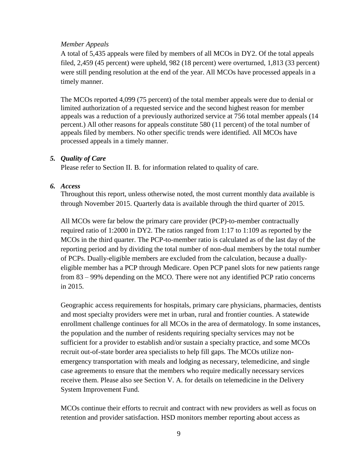#### *Member Appeals*

A total of 5,435 appeals were filed by members of all MCOs in DY2. Of the total appeals filed, 2,459 (45 percent) were upheld, 982 (18 percent) were overturned, 1,813 (33 percent) were still pending resolution at the end of the year. All MCOs have processed appeals in a timely manner.

The MCOs reported 4,099 (75 percent) of the total member appeals were due to denial or limited authorization of a requested service and the second highest reason for member appeals was a reduction of a previously authorized service at 756 total member appeals (14 percent.) All other reasons for appeals constitute 580 (11 percent) of the total number of appeals filed by members. No other specific trends were identified. All MCOs have processed appeals in a timely manner.

# *5. Quality of Care*

Please refer to Section II. B. for information related to quality of care.

#### *6. Access*

Throughout this report, unless otherwise noted, the most current monthly data available is through November 2015. Quarterly data is available through the third quarter of 2015.

All MCOs were far below the primary care provider (PCP)-to-member contractually required ratio of 1:2000 in DY2. The ratios ranged from 1:17 to 1:109 as reported by the MCOs in the third quarter. The PCP-to-member ratio is calculated as of the last day of the reporting period and by dividing the total number of non-dual members by the total number of PCPs. Dually-eligible members are excluded from the calculation, because a duallyeligible member has a PCP through Medicare. Open PCP panel slots for new patients range from 83 – 99% depending on the MCO. There were not any identified PCP ratio concerns in 2015.

Geographic access requirements for hospitals, primary care physicians, pharmacies, dentists and most specialty providers were met in urban, rural and frontier counties. A statewide enrollment challenge continues for all MCOs in the area of dermatology. In some instances, the population and the number of residents requiring specialty services may not be sufficient for a provider to establish and/or sustain a specialty practice, and some MCOs recruit out-of-state border area specialists to help fill gaps. The MCOs utilize nonemergency transportation with meals and lodging as necessary, telemedicine, and single case agreements to ensure that the members who require medically necessary services receive them. Please also see Section V. A. for details on telemedicine in the Delivery System Improvement Fund.

MCOs continue their efforts to recruit and contract with new providers as well as focus on retention and provider satisfaction. HSD monitors member reporting about access as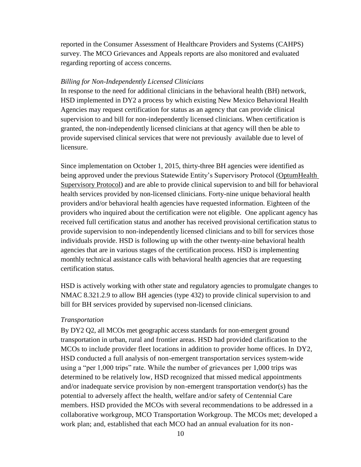reported in the Consumer Assessment of Healthcare Providers and Systems (CAHPS) survey. The MCO Grievances and Appeals reports are also monitored and evaluated regarding reporting of access concerns.

#### *Billing for Non-Independently Licensed Clinicians*

In response to the need for additional clinicians in the behavioral health (BH) network, HSD implemented in DY2 a process by which existing New Mexico Behavioral Health Agencies may request certification for status as an agency that can provide clinical supervision to and bill for non-independently licensed clinicians. When certification is granted, the non-independently licensed clinicians at that agency will then be able to provide supervised clinical services that were not previously available due to level of licensure.

Since implementation on October 1, 2015, thirty-three BH agencies were identified as being approved under the previous Statewide Entity's Supervisory Protocol (OptumHealth Supervisory Protocol) and are able to provide clinical supervision to and bill for behavioral health services provided by non-licensed clinicians. Forty-nine unique behavioral health providers and/or behavioral health agencies have requested information. Eighteen of the providers who inquired about the certification were not eligible. One applicant agency has received full certification status and another has received provisional certification status to provide supervision to non-independently licensed clinicians and to bill for services those individuals provide. HSD is following up with the other twenty-nine behavioral health agencies that are in various stages of the certification process. HSD is implementing monthly technical assistance calls with behavioral health agencies that are requesting certification status.

HSD is actively working with other state and regulatory agencies to promulgate changes to NMAC 8.321.2.9 to allow BH agencies (type 432) to provide clinical supervision to and bill for BH services provided by supervised non-licensed clinicians.

#### *Transportation*

By DY2 Q2, all MCOs met geographic access standards for non-emergent ground transportation in urban, rural and frontier areas. HSD had provided clarification to the MCOs to include provider fleet locations in addition to provider home offices. In DY2, HSD conducted a full analysis of non-emergent transportation services system-wide using a "per 1,000 trips" rate. While the number of grievances per 1,000 trips was determined to be relatively low, HSD recognized that missed medical appointments and/or inadequate service provision by non-emergent transportation vendor(s) has the potential to adversely affect the health, welfare and/or safety of Centennial Care members. HSD provided the MCOs with several recommendations to be addressed in a collaborative workgroup, MCO Transportation Workgroup. The MCOs met; developed a work plan; and, established that each MCO had an annual evaluation for its non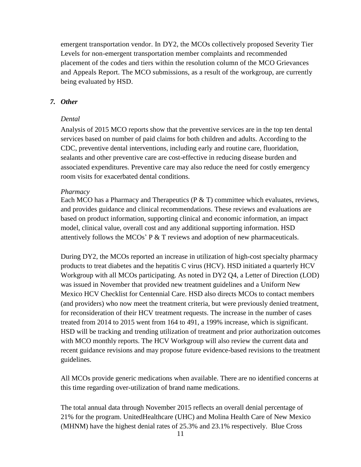emergent transportation vendor. In DY2, the MCOs collectively proposed Severity Tier Levels for non-emergent transportation member complaints and recommended placement of the codes and tiers within the resolution column of the MCO Grievances and Appeals Report. The MCO submissions, as a result of the workgroup, are currently being evaluated by HSD.

#### *7. Other*

#### *Dental*

Analysis of 2015 MCO reports show that the preventive services are in the top ten dental services based on number of paid claims for both children and adults. According to the CDC, preventive dental interventions, including early and routine care, fluoridation, sealants and other preventive care are cost-effective in reducing disease burden and associated expenditures. Preventive care may also reduce the need for costly emergency room visits for exacerbated dental conditions.

#### *Pharmacy*

Each MCO has a Pharmacy and Therapeutics (P & T) committee which evaluates, reviews, and provides guidance and clinical recommendations. These reviews and evaluations are based on product information, supporting clinical and economic information, an impact model, clinical value, overall cost and any additional supporting information. HSD attentively follows the MCOs' P & T reviews and adoption of new pharmaceuticals.

During DY2, the MCOs reported an increase in utilization of high-cost specialty pharmacy products to treat diabetes and the hepatitis C virus (HCV). HSD initiated a quarterly HCV Workgroup with all MCOs participating. As noted in DY2 Q4, a Letter of Direction (LOD) was issued in November that provided new treatment guidelines and a Uniform New Mexico HCV Checklist for Centennial Care. HSD also directs MCOs to contact members (and providers) who now meet the treatment criteria, but were previously denied treatment, for reconsideration of their HCV treatment requests. The increase in the number of cases treated from 2014 to 2015 went from 164 to 491, a 199% increase, which is significant. HSD will be tracking and trending utilization of treatment and prior authorization outcomes with MCO monthly reports. The HCV Workgroup will also review the current data and recent guidance revisions and may propose future evidence-based revisions to the treatment guidelines.

All MCOs provide generic medications when available. There are no identified concerns at this time regarding over-utilization of brand name medications.

The total annual data through November 2015 reflects an overall denial percentage of 21% for the program. UnitedHealthcare (UHC) and Molina Health Care of New Mexico (MHNM) have the highest denial rates of 25.3% and 23.1% respectively. Blue Cross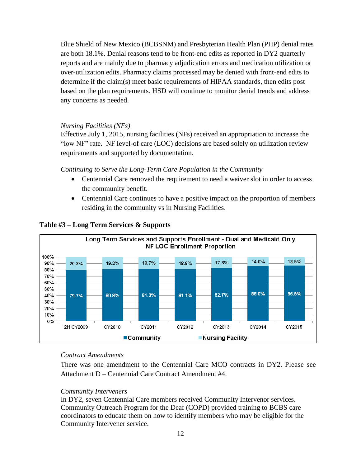Blue Shield of New Mexico (BCBSNM) and Presbyterian Health Plan (PHP) denial rates are both 18.1%. Denial reasons tend to be front-end edits as reported in DY2 quarterly reports and are mainly due to pharmacy adjudication errors and medication utilization or over-utilization edits. Pharmacy claims processed may be denied with front-end edits to determine if the claim(s) meet basic requirements of HIPAA standards, then edits post based on the plan requirements. HSD will continue to monitor denial trends and address any concerns as needed.

#### *Nursing Facilities (NFs)*

Effective July 1, 2015, nursing facilities (NFs) received an appropriation to increase the "low NF" rate. NF level-of care (LOC) decisions are based solely on utilization review requirements and supported by documentation.

*Continuing to Serve the Long-Term Care Population in the Community*

- Centennial Care removed the requirement to need a waiver slot in order to access the community benefit.
- Centennial Care continues to have a positive impact on the proportion of members residing in the community vs in Nursing Facilities.



#### **Table #3 – Long Term Services & Supports**

#### *Contract Amendments*

There was one amendment to the Centennial Care MCO contracts in DY2. Please see Attachment D – Centennial Care Contract Amendment #4.

#### *Community Interveners*

In DY2, seven Centennial Care members received Community Intervenor services. Community Outreach Program for the Deaf (COPD) provided training to BCBS care coordinators to educate them on how to identify members who may be eligible for the Community Intervener service.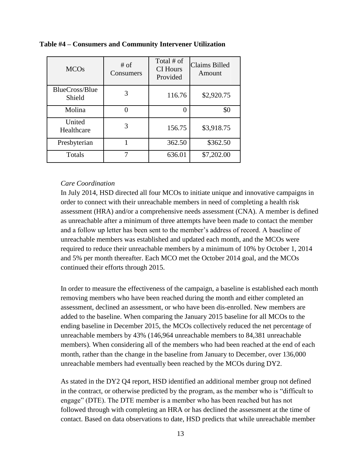| <b>MCOs</b>              | $#$ of<br>Consumers | Total # of<br><b>CI</b> Hours<br>Provided | <b>Claims Billed</b><br>Amount |
|--------------------------|---------------------|-------------------------------------------|--------------------------------|
| BlueCross/Blue<br>Shield |                     | 116.76                                    | \$2,920.75                     |
| Molina                   |                     |                                           | \$0                            |
| United<br>Healthcare     | 3                   | 156.75                                    | \$3,918.75                     |
| Presbyterian             |                     | 362.50                                    | \$362.50                       |
| Totals                   |                     | 636.01                                    | \$7,202.00                     |

**Table #4 – Consumers and Community Intervener Utilization**

#### *Care Coordination*

In July 2014, HSD directed all four MCOs to initiate unique and innovative campaigns in order to connect with their unreachable members in need of completing a health risk assessment (HRA) and/or a comprehensive needs assessment (CNA). A member is defined as unreachable after a minimum of three attempts have been made to contact the member and a follow up letter has been sent to the member's address of record. A baseline of unreachable members was established and updated each month, and the MCOs were required to reduce their unreachable members by a minimum of 10% by October 1, 2014 and 5% per month thereafter. Each MCO met the October 2014 goal, and the MCOs continued their efforts through 2015.

In order to measure the effectiveness of the campaign, a baseline is established each month removing members who have been reached during the month and either completed an assessment, declined an assessment, or who have been dis-enrolled. New members are added to the baseline. When comparing the January 2015 baseline for all MCOs to the ending baseline in December 2015, the MCOs collectively reduced the net percentage of unreachable members by 43% (146,964 unreachable members to 84,381 unreachable members). When considering all of the members who had been reached at the end of each month, rather than the change in the baseline from January to December, over 136,000 unreachable members had eventually been reached by the MCOs during DY2.

As stated in the DY2 Q4 report, HSD identified an additional member group not defined in the contract, or otherwise predicted by the program, as the member who is "difficult to engage" (DTE). The DTE member is a member who has been reached but has not followed through with completing an HRA or has declined the assessment at the time of contact. Based on data observations to date, HSD predicts that while unreachable member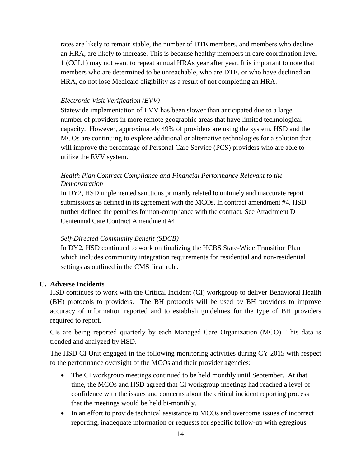rates are likely to remain stable, the number of DTE members, and members who decline an HRA, are likely to increase. This is because healthy members in care coordination level 1 (CCL1) may not want to repeat annual HRAs year after year. It is important to note that members who are determined to be unreachable, who are DTE, or who have declined an HRA, do not lose Medicaid eligibility as a result of not completing an HRA.

#### *Electronic Visit Verification (EVV)*

Statewide implementation of EVV has been slower than anticipated due to a large number of providers in more remote geographic areas that have limited technological capacity. However, approximately 49% of providers are using the system. HSD and the MCOs are continuing to explore additional or alternative technologies for a solution that will improve the percentage of Personal Care Service (PCS) providers who are able to utilize the EVV system.

#### *Health Plan Contract Compliance and Financial Performance Relevant to the Demonstration*

In DY2, HSD implemented sanctions primarily related to untimely and inaccurate report submissions as defined in its agreement with the MCOs. In contract amendment #4, HSD further defined the penalties for non-compliance with the contract. See Attachment D – Centennial Care Contract Amendment #4.

#### *Self-Directed Community Benefit (SDCB)*

In DY2, HSD continued to work on finalizing the HCBS State-Wide Transition Plan which includes community integration requirements for residential and non-residential settings as outlined in the CMS final rule.

#### **C. Adverse Incidents**

HSD continues to work with the Critical Incident (CI) workgroup to deliver Behavioral Health (BH) protocols to providers. The BH protocols will be used by BH providers to improve accuracy of information reported and to establish guidelines for the type of BH providers required to report.

CIs are being reported quarterly by each Managed Care Organization (MCO). This data is trended and analyzed by HSD.

The HSD CI Unit engaged in the following monitoring activities during CY 2015 with respect to the performance oversight of the MCOs and their provider agencies:

- The CI workgroup meetings continued to be held monthly until September. At that time, the MCOs and HSD agreed that CI workgroup meetings had reached a level of confidence with the issues and concerns about the critical incident reporting process that the meetings would be held bi-monthly.
- In an effort to provide technical assistance to MCOs and overcome issues of incorrect reporting, inadequate information or requests for specific follow-up with egregious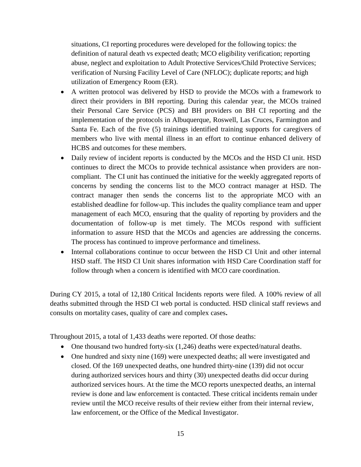situations, CI reporting procedures were developed for the following topics: the definition of natural death vs expected death; MCO eligibility verification; reporting abuse, neglect and exploitation to Adult Protective Services/Child Protective Services; verification of Nursing Facility Level of Care (NFLOC); duplicate reports; and high utilization of Emergency Room (ER).

- A written protocol was delivered by HSD to provide the MCOs with a framework to direct their providers in BH reporting. During this calendar year, the MCOs trained their Personal Care Service (PCS) and BH providers on BH CI reporting and the implementation of the protocols in Albuquerque, Roswell, Las Cruces, Farmington and Santa Fe. Each of the five (5) trainings identified training supports for caregivers of members who live with mental illness in an effort to continue enhanced delivery of HCBS and outcomes for these members.
- Daily review of incident reports is conducted by the MCOs and the HSD CI unit. HSD continues to direct the MCOs to provide technical assistance when providers are noncompliant. The CI unit has continued the initiative for the weekly aggregated reports of concerns by sending the concerns list to the MCO contract manager at HSD. The contract manager then sends the concerns list to the appropriate MCO with an established deadline for follow-up. This includes the quality compliance team and upper management of each MCO, ensuring that the quality of reporting by providers and the documentation of follow-up is met timely. The MCOs respond with sufficient information to assure HSD that the MCOs and agencies are addressing the concerns. The process has continued to improve performance and timeliness.
- Internal collaborations continue to occur between the HSD CI Unit and other internal HSD staff. The HSD CI Unit shares information with HSD Care Coordination staff for follow through when a concern is identified with MCO care coordination.

During CY 2015, a total of 12,180 Critical Incidents reports were filed. A 100% review of all deaths submitted through the HSD CI web portal is conducted. HSD clinical staff reviews and consults on mortality cases, quality of care and complex cases**.**

Throughout 2015, a total of 1,433 deaths were reported. Of those deaths:

- One thousand two hundred forty-six (1,246) deaths were expected/natural deaths.
- One hundred and sixty nine (169) were unexpected deaths; all were investigated and closed. Of the 169 unexpected deaths, one hundred thirty-nine (139) did not occur during authorized services hours and thirty (30) unexpected deaths did occur during authorized services hours. At the time the MCO reports unexpected deaths, an internal review is done and law enforcement is contacted. These critical incidents remain under review until the MCO receive results of their review either from their internal review, law enforcement, or the Office of the Medical Investigator.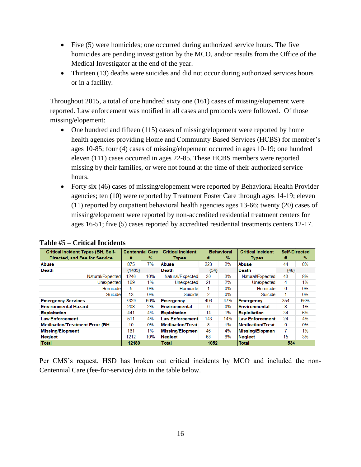- Five (5) were homicides; one occurred during authorized service hours. The five homicides are pending investigation by the MCO, and/or results from the Office of the Medical Investigator at the end of the year.
- Thirteen (13) deaths were suicides and did not occur during authorized services hours or in a facility.

Throughout 2015, a total of one hundred sixty one (161) cases of missing/elopement were reported. Law enforcement was notified in all cases and protocols were followed. Of those missing/elopement:

- One hundred and fifteen (115) cases of missing/elopement were reported by home health agencies providing Home and Community Based Services (HCBS) for member's ages 10-85; four (4) cases of missing/elopement occurred in ages 10-19; one hundred eleven (111) cases occurred in ages 22-85. These HCBS members were reported missing by their families, or were not found at the time of their authorized service hours.
- Forty six (46) cases of missing/elopement were reported by Behavioral Health Provider agencies; ten (10) were reported by Treatment Foster Care through ages 14-19; eleven (11) reported by outpatient behavioral health agencies ages 13-66; twenty (20) cases of missing/elopement were reported by non-accredited residential treatment centers for ages 16-51; five (5) cases reported by accredited residential treatments centers 12-17.

| <b>Critical Incident Types (BH, Self-</b> | <b>Centennial Care</b> |     | <b>Critical Incident</b> |          | <b>Behavioral</b> | <b>Critical Incident</b> | <b>Self-Directed</b> |     |
|-------------------------------------------|------------------------|-----|--------------------------|----------|-------------------|--------------------------|----------------------|-----|
| Directed, and Fee for Service             | #                      | %   | <b>Types</b>             | #        | %                 | <b>Types</b>             | #                    | %   |
| Abuse                                     | 875                    | 7%  | Abuse                    | 223      | 2%                | Abuse                    | 44                   | 8%  |
| Death                                     | ${1433}$               |     | <b>Death</b>             | ${54}$   |                   | Death                    | ${48}$               |     |
| Natural/Expected                          | 1246                   | 10% | Natural/Expected         | 30       | 3%                | Natural/Expected         | 43                   | 8%  |
| Unexpected                                | 169                    | 1%  | Unexpected               | 21       | 2%                | Unexpected               | 4                    | 1%  |
| Homicidel                                 | 5.                     | 0%  | Homicide                 |          | 0%                | Homicide                 | 0                    | 0%  |
| Suicidel                                  | 13                     | 0%  | Suicide                  | 2        | 0%                | Suicide                  |                      | 0%  |
| <b>Emergency Services</b>                 | 7329                   | 60% | Emergency                | 496      | 47%               | Emergency                | 354                  | 66% |
| Environmental Hazard                      | 208                    | 2%  | Environmental            | $\Omega$ | 0%                | Environmental            | 8                    | 1%  |
| Exploitation                              | 441                    | 4%  | Exploitation             | 14       | 1%                | <b>Exploitation</b>      | 34                   | 6%  |
| Law Enforcement                           | 511                    | 4%  | Law Enforcement          | 143      | 14%               | Law Enforcement          | 24                   | 4%  |
| Medication/Treatment Error (BH            | 10                     | 0%  | Medication/Treat         | 8        | 1%                | Medication/Treat         | $\Omega$             | 0%  |
| Missing/Elopment                          | 161                    | 1%  | Missing/Elopmen          | 46       | 4%                | Missing/Elopmen          |                      | 1%  |
| <b>Neglect</b>                            | 1212                   | 10% | Neglect                  | 68       | 6%                | <b>Neglect</b>           | 15                   | 3%  |
| <b>Total</b>                              | 12180                  |     | <b>Total</b>             | 1052     |                   | <b>Total</b>             | 534                  |     |

# **Table #5 – Critical Incidents**

Per CMS's request, HSD has broken out critical incidents by MCO and included the non-Centennial Care (fee-for-service) data in the table below.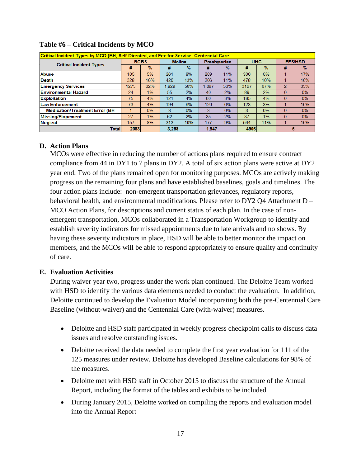| Critical Incident Types by MCO (BH, Self-Directed, and Fee for Service- Centennial Care |             |               |               |               |                     |      |            |               |                |               |
|-----------------------------------------------------------------------------------------|-------------|---------------|---------------|---------------|---------------------|------|------------|---------------|----------------|---------------|
|                                                                                         | <b>BCBS</b> |               | <b>Molina</b> |               | <b>Presbyterian</b> |      | <b>UHC</b> |               | <b>FFS/HSD</b> |               |
| <b>Critical Incident Types</b>                                                          | #           | $\frac{9}{6}$ | #             | $\frac{9}{6}$ | #                   | $\%$ | #          | $\frac{9}{6}$ | #              | $\frac{9}{6}$ |
| Abuse                                                                                   | 105         | 5%            | 261           | 8%            | 209                 | 11%  | 300        | 6%            |                | 17%           |
| Death                                                                                   | 328         | 16%           | 420           | 13%           | 206                 | 11%  | 478        | 10%           |                | 16%           |
| <b>Emergency Services</b>                                                               | 1273        | 62%           | .829          | 56%           | 1.097               | 56%  | 3127       | 67%           | $\overline{2}$ | 33%           |
| Environmental Hazard                                                                    | 24          | 1%            | 55            | 2%            | 40                  | 2%   | 89         | 2%            | $\Omega$       | 0%            |
| <b>Exploitation</b>                                                                     | 75          | 4%            | 121           | 4%            | 60                  | 3%   | 185        | 4%            | $\mathbf{0}$   | 0%            |
| <b>Law Enforcement</b>                                                                  | 73          | 4%            | 194           | 6%            | 120                 | 6%   | 123        | 3%            |                | 16%           |
| <b>Medication/Treatment Error (BH</b>                                                   |             | 0%            | 3             | 0%            | 3                   | 0%   | 3          | 0%            | $\Omega$       | 0%            |
| Missing/Elopement                                                                       | 27          | 1%            | 62            | 2%            | 35                  | 2%   | 37         | 1%            | $\Omega$       | 0%            |
| <b>Neglect</b>                                                                          | 157         | 8%            | 313           | 10%           | 177                 | 9%   | 564        | 11%           |                | 16%           |
| <b>Total</b>                                                                            | 2063        |               | 3,258         |               | 1,947               |      | 4906       |               | 61             |               |

#### **Table #6 – Critical Incidents by MCO**

# **D. Action Plans**

MCOs were effective in reducing the number of actions plans required to ensure contract compliance from 44 in DY1 to 7 plans in DY2. A total of six action plans were active at DY2 year end. Two of the plans remained open for monitoring purposes. MCOs are actively making progress on the remaining four plans and have established baselines, goals and timelines. The four action plans include: non-emergent transportation grievances, regulatory reports, behavioral health, and environmental modifications. Please refer to DY2 Q4 Attachment D – MCO Action Plans, for descriptions and current status of each plan. In the case of nonemergent transportation, MCOs collaborated in a Transportation Workgroup to identify and establish severity indicators for missed appointments due to late arrivals and no shows. By having these severity indicators in place, HSD will be able to better monitor the impact on members, and the MCOs will be able to respond appropriately to ensure quality and continuity of care.

#### **E. Evaluation Activities**

During waiver year two, progress under the work plan continued. The Deloitte Team worked with HSD to identify the various data elements needed to conduct the evaluation. In addition, Deloitte continued to develop the Evaluation Model incorporating both the pre-Centennial Care Baseline (without-waiver) and the Centennial Care (with-waiver) measures.

- Deloitte and HSD staff participated in weekly progress checkpoint calls to discuss data issues and resolve outstanding issues.
- Deloitte received the data needed to complete the first year evaluation for 111 of the 125 measures under review. Deloitte has developed Baseline calculations for 98% of the measures.
- Deloitte met with HSD staff in October 2015 to discuss the structure of the Annual Report, including the format of the tables and exhibits to be included.
- During January 2015, Deloitte worked on compiling the reports and evaluation model into the Annual Report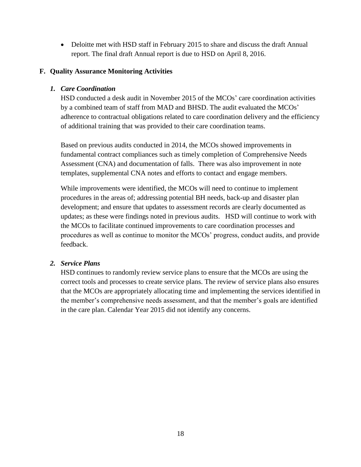• Deloitte met with HSD staff in February 2015 to share and discuss the draft Annual report. The final draft Annual report is due to HSD on April 8, 2016.

#### **F. Quality Assurance Monitoring Activities**

#### *1. Care Coordination*

HSD conducted a desk audit in November 2015 of the MCOs' care coordination activities by a combined team of staff from MAD and BHSD. The audit evaluated the MCOs' adherence to contractual obligations related to care coordination delivery and the efficiency of additional training that was provided to their care coordination teams.

Based on previous audits conducted in 2014, the MCOs showed improvements in fundamental contract compliances such as timely completion of Comprehensive Needs Assessment (CNA) and documentation of falls. There was also improvement in note templates, supplemental CNA notes and efforts to contact and engage members.

While improvements were identified, the MCOs will need to continue to implement procedures in the areas of; addressing potential BH needs, back-up and disaster plan development; and ensure that updates to assessment records are clearly documented as updates; as these were findings noted in previous audits. HSD will continue to work with the MCOs to facilitate continued improvements to care coordination processes and procedures as well as continue to monitor the MCOs' progress, conduct audits, and provide feedback.

#### *2. Service Plans*

HSD continues to randomly review service plans to ensure that the MCOs are using the correct tools and processes to create service plans. The review of service plans also ensures that the MCOs are appropriately allocating time and implementing the services identified in the member's comprehensive needs assessment, and that the member's goals are identified in the care plan. Calendar Year 2015 did not identify any concerns.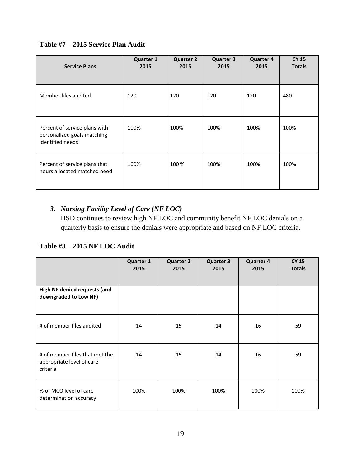# **Table #7 – 2015 Service Plan Audit**

| <b>Service Plans</b>                                                             | <b>Quarter 1</b><br>2015 | <b>Quarter 2</b><br>2015 | <b>Quarter 3</b><br>2015 | <b>Quarter 4</b><br>2015 | <b>CY 15</b><br><b>Totals</b> |
|----------------------------------------------------------------------------------|--------------------------|--------------------------|--------------------------|--------------------------|-------------------------------|
| Member files audited                                                             | 120                      | 120                      | 120                      | 120                      | 480                           |
| Percent of service plans with<br>personalized goals matching<br>identified needs | 100%                     | 100%                     | 100%                     | 100%                     | 100%                          |
| Percent of service plans that<br>hours allocated matched need                    | 100%                     | 100 %                    | 100%                     | 100%                     | 100%                          |

# *3. Nursing Facility Level of Care (NF LOC)*

HSD continues to review high NF LOC and community benefit NF LOC denials on a quarterly basis to ensure the denials were appropriate and based on NF LOC criteria.

# **Table #8 – 2015 NF LOC Audit**

|                                                                         | <b>Quarter 1</b><br>2015 | <b>Quarter 2</b><br>2015 | <b>Quarter 3</b><br>2015 | <b>Quarter 4</b><br>2015 | <b>CY 15</b><br><b>Totals</b> |
|-------------------------------------------------------------------------|--------------------------|--------------------------|--------------------------|--------------------------|-------------------------------|
| High NF denied requests (and<br>downgraded to Low NF)                   |                          |                          |                          |                          |                               |
| # of member files audited                                               | 14                       | 15                       | 14                       | 16                       | 59                            |
| # of member files that met the<br>appropriate level of care<br>criteria | 14                       | 15                       | 14                       | 16                       | 59                            |
| % of MCO level of care<br>determination accuracy                        | 100%                     | 100%                     | 100%                     | 100%                     | 100%                          |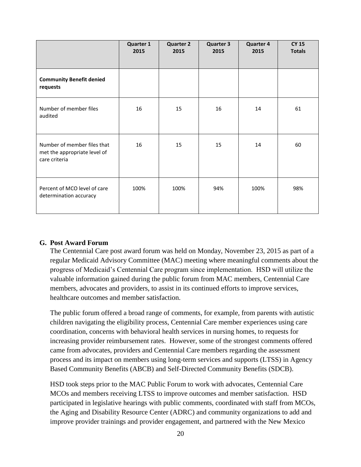|                                                                              | Quarter 1<br>2015 | <b>Quarter 2</b><br>2015 | <b>Quarter 3</b><br>2015 | <b>Quarter 4</b><br>2015 | <b>CY 15</b><br><b>Totals</b> |
|------------------------------------------------------------------------------|-------------------|--------------------------|--------------------------|--------------------------|-------------------------------|
| <b>Community Benefit denied</b><br>requests                                  |                   |                          |                          |                          |                               |
| Number of member files<br>audited                                            | 16                | 15                       | 16                       | 14                       | 61                            |
| Number of member files that<br>met the appropriate level of<br>care criteria | 16                | 15                       | 15                       | 14                       | 60                            |
| Percent of MCO level of care<br>determination accuracy                       | 100%              | 100%                     | 94%                      | 100%                     | 98%                           |

#### **G. Post Award Forum**

The Centennial Care post award forum was held on Monday, November 23, 2015 as part of a regular Medicaid Advisory Committee (MAC) meeting where meaningful comments about the progress of Medicaid's Centennial Care program since implementation. HSD will utilize the valuable information gained during the public forum from MAC members, Centennial Care members, advocates and providers, to assist in its continued efforts to improve services, healthcare outcomes and member satisfaction.

The public forum offered a broad range of comments, for example, from parents with autistic children navigating the eligibility process, Centennial Care member experiences using care coordination, concerns with behavioral health services in nursing homes, to requests for increasing provider reimbursement rates. However, some of the strongest comments offered came from advocates, providers and Centennial Care members regarding the assessment process and its impact on members using long-term services and supports (LTSS) in Agency Based Community Benefits (ABCB) and Self-Directed Community Benefits (SDCB).

HSD took steps prior to the MAC Public Forum to work with advocates, Centennial Care MCOs and members receiving LTSS to improve outcomes and member satisfaction. HSD participated in legislative hearings with public comments, coordinated with staff from MCOs, the Aging and Disability Resource Center (ADRC) and community organizations to add and improve provider trainings and provider engagement, and partnered with the New Mexico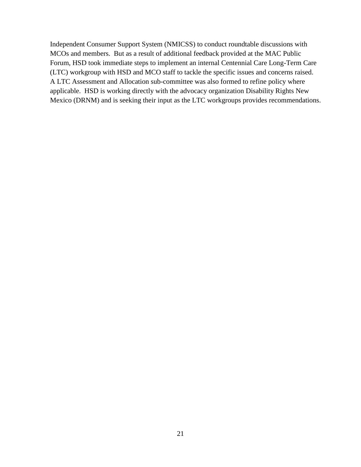Independent Consumer Support System (NMICSS) to conduct roundtable discussions with MCOs and members. But as a result of additional feedback provided at the MAC Public Forum, HSD took immediate steps to implement an internal Centennial Care Long-Term Care (LTC) workgroup with HSD and MCO staff to tackle the specific issues and concerns raised. A LTC Assessment and Allocation sub-committee was also formed to refine policy where applicable. HSD is working directly with the advocacy organization Disability Rights New Mexico (DRNM) and is seeking their input as the LTC workgroups provides recommendations.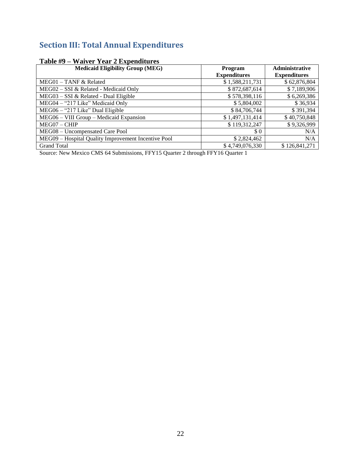# **Section III: Total Annual Expenditures**

| $\cdots$ and $\cdots$ is to the second contribution to the second contribution of $\cdots$<br><b>Medicaid Eligibility Group (MEG)</b> | Program             | <b>Administrative</b> |
|---------------------------------------------------------------------------------------------------------------------------------------|---------------------|-----------------------|
|                                                                                                                                       | <b>Expenditures</b> | <b>Expenditures</b>   |
| $MEG01 - TANF & Related$                                                                                                              | \$1,588,211,731     | \$62,876,804          |
| MEG02 - SSI & Related - Medicaid Only                                                                                                 | \$872,687,614       | \$7,189,906           |
| MEG03 - SSI & Related - Dual Eligible                                                                                                 | \$578,398,116       | \$6,269,386           |
| MEG04 - "217 Like" Medicaid Only                                                                                                      | \$5,804,002         | \$36,934              |
| MEG06 - "217 Like" Dual Eligible                                                                                                      | \$84,706,744        | \$391,394             |
| MEG06 - VIII Group - Medicaid Expansion                                                                                               | \$1,497,131,414     | \$40,750,848          |
| $MEG07 - CHIP$                                                                                                                        | \$119,312,247       | \$9,326,999           |
| MEG08 - Uncompensated Care Pool                                                                                                       | \$0                 | N/A                   |
| MEG09 – Hospital Quality Improvement Incentive Pool                                                                                   | \$2,824,462         | N/A                   |
| <b>Grand Total</b>                                                                                                                    | \$4,749,076,330     | \$126,841,271         |

# **Table #9 – Waiver Year 2 Expenditures**

Source: New Mexico CMS 64 Submissions, FFY15 Quarter 2 through FFY16 Quarter 1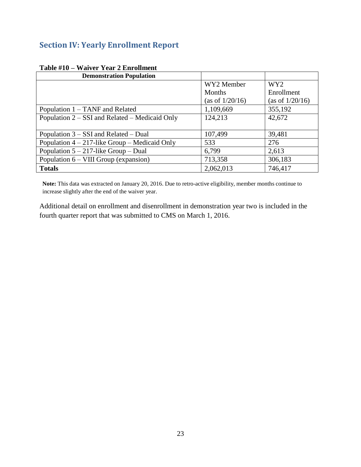# **Section IV: Yearly Enrollment Report**

| <b>Demonstration Population</b>                  |                 |                 |
|--------------------------------------------------|-----------------|-----------------|
|                                                  | WY2 Member      | WY <sub>2</sub> |
|                                                  | <b>Months</b>   | Enrollment      |
|                                                  | (as of 1/20/16) | (as of 1/20/16) |
| Population 1 – TANF and Related                  | 1,109,669       | 355,192         |
| Population $2 - SSI$ and Related – Medicaid Only | 124,213         | 42,672          |
|                                                  |                 |                 |
| Population 3 – SSI and Related – Dual            | 107,499         | 39,481          |
| Population $4 - 217$ -like Group – Medicaid Only | 533             | 276             |
| Population $5 - 217$ -like Group – Dual          | 6,799           | 2,613           |
| Population $6 - VIII$ Group (expansion)          | 713,358         | 306,183         |
| <b>Totals</b>                                    | 2,062,013       | 746,417         |

# **Table #10 – Waiver Year 2 Enrollment**

**Note:** This data was extracted on January 20, 2016. Due to retro-active eligibility, member months continue to increase slightly after the end of the waiver year.

Additional detail on enrollment and disenrollment in demonstration year two is included in the fourth quarter report that was submitted to CMS on March 1, 2016.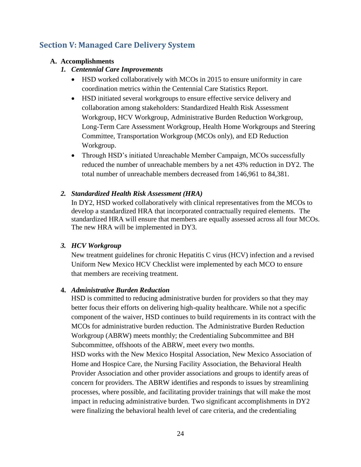# **Section V: Managed Care Delivery System**

# **A. Accomplishments**

# *1. Centennial Care Improvements*

- HSD worked collaboratively with MCOs in 2015 to ensure uniformity in care coordination metrics within the Centennial Care Statistics Report.
- HSD initiated several workgroups to ensure effective service delivery and collaboration among stakeholders: Standardized Health Risk Assessment Workgroup, HCV Workgroup, Administrative Burden Reduction Workgroup, Long-Term Care Assessment Workgroup, Health Home Workgroups and Steering Committee, Transportation Workgroup (MCOs only), and ED Reduction Workgroup.
- Through HSD's initiated Unreachable Member Campaign, MCOs successfully reduced the number of unreachable members by a net 43% reduction in DY2. The total number of unreachable members decreased from 146,961 to 84,381.

# *2. Standardized Health Risk Assessment (HRA)*

In DY2, HSD worked collaboratively with clinical representatives from the MCOs to develop a standardized HRA that incorporated contractually required elements. The standardized HRA will ensure that members are equally assessed across all four MCOs. The new HRA will be implemented in DY3.

# *3. HCV Workgroup*

New treatment guidelines for chronic Hepatitis C virus (HCV) infection and a revised Uniform New Mexico HCV Checklist were implemented by each MCO to ensure that members are receiving treatment.

# **4.** *Administrative Burden Reduction*

HSD is committed to reducing administrative burden for providers so that they may better focus their efforts on delivering high-quality healthcare. While not a specific component of the waiver, HSD continues to build requirements in its contract with the MCOs for administrative burden reduction. The Administrative Burden Reduction Workgroup (ABRW) meets monthly; the Credentialing Subcommittee and BH Subcommittee, offshoots of the ABRW, meet every two months.

HSD works with the New Mexico Hospital Association, New Mexico Association of Home and Hospice Care, the Nursing Facility Association, the Behavioral Health Provider Association and other provider associations and groups to identify areas of concern for providers. The ABRW identifies and responds to issues by streamlining processes, where possible, and facilitating provider trainings that will make the most impact in reducing administrative burden. Two significant accomplishments in DY2 were finalizing the behavioral health level of care criteria, and the credentialing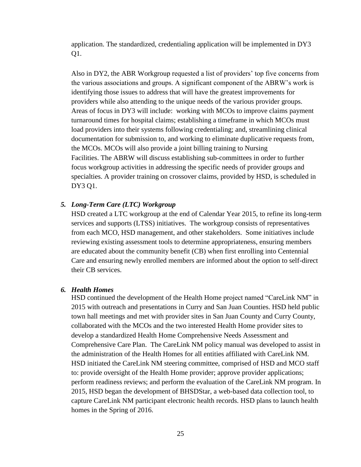application. The standardized, credentialing application will be implemented in DY3 Q1.

Also in DY2, the ABR Workgroup requested a list of providers' top five concerns from the various associations and groups. A significant component of the ABRW's work is identifying those issues to address that will have the greatest improvements for providers while also attending to the unique needs of the various provider groups. Areas of focus in DY3 will include: working with MCOs to improve claims payment turnaround times for hospital claims; establishing a timeframe in which MCOs must load providers into their systems following credentialing; and, streamlining clinical documentation for submission to, and working to eliminate duplicative requests from, the MCOs. MCOs will also provide a joint billing training to Nursing Facilities. The ABRW will discuss establishing sub-committees in order to further focus workgroup activities in addressing the specific needs of provider groups and specialties. A provider training on crossover claims, provided by HSD, is scheduled in DY3 Q1.

#### *5. Long-Term Care (LTC) Workgroup*

HSD created a LTC workgroup at the end of Calendar Year 2015, to refine its long-term services and supports (LTSS) initiatives. The workgroup consists of representatives from each MCO, HSD management, and other stakeholders. Some initiatives include reviewing existing assessment tools to determine appropriateness, ensuring members are educated about the community benefit (CB) when first enrolling into Centennial Care and ensuring newly enrolled members are informed about the option to self-direct their CB services.

#### *6. Health Homes*

HSD continued the development of the Health Home project named "CareLink NM" in 2015 with outreach and presentations in Curry and San Juan Counties. HSD held public town hall meetings and met with provider sites in San Juan County and Curry County, collaborated with the MCOs and the two interested Health Home provider sites to develop a standardized Health Home Comprehensive Needs Assessment and Comprehensive Care Plan. The CareLink NM policy manual was developed to assist in the administration of the Health Homes for all entities affiliated with CareLink NM. HSD initiated the CareLink NM steering committee, comprised of HSD and MCO staff to: provide oversight of the Health Home provider; approve provider applications; perform readiness reviews; and perform the evaluation of the CareLink NM program. In 2015, HSD began the development of BHSDStar, a web-based data collection tool, to capture CareLink NM participant electronic health records. HSD plans to launch health homes in the Spring of 2016.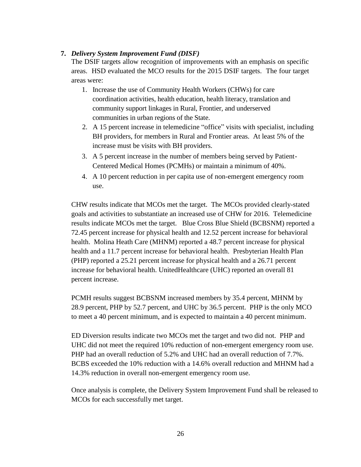#### **7.** *Delivery System Improvement Fund (DISF)*

The DSIF targets allow recognition of improvements with an emphasis on specific areas. HSD evaluated the MCO results for the 2015 DSIF targets. The four target areas were:

- 1. Increase the use of Community Health Workers (CHWs) for care coordination activities, health education, health literacy, translation and community support linkages in Rural, Frontier, and underserved communities in urban regions of the State.
- 2. A 15 percent increase in telemedicine "office" visits with specialist, including BH providers, for members in Rural and Frontier areas. At least 5% of the increase must be visits with BH providers.
- 3. A 5 percent increase in the number of members being served by Patient-Centered Medical Homes (PCMHs) or maintain a minimum of 40%.
- 4. A 10 percent reduction in per capita use of non-emergent emergency room use.

CHW results indicate that MCOs met the target. The MCOs provided clearly-stated goals and activities to substantiate an increased use of CHW for 2016. Telemedicine results indicate MCOs met the target. Blue Cross Blue Shield (BCBSNM) reported a 72.45 percent increase for physical health and 12.52 percent increase for behavioral health. Molina Heath Care (MHNM) reported a 48.7 percent increase for physical health and a 11.7 percent increase for behavioral health. Presbyterian Health Plan (PHP) reported a 25.21 percent increase for physical health and a 26.71 percent increase for behavioral health. UnitedHealthcare (UHC) reported an overall 81 percent increase.

PCMH results suggest BCBSNM increased members by 35.4 percent, MHNM by 28.9 percent, PHP by 52.7 percent, and UHC by 36.5 percent. PHP is the only MCO to meet a 40 percent minimum, and is expected to maintain a 40 percent minimum.

ED Diversion results indicate two MCOs met the target and two did not. PHP and UHC did not meet the required 10% reduction of non-emergent emergency room use. PHP had an overall reduction of 5.2% and UHC had an overall reduction of 7.7%. BCBS exceeded the 10% reduction with a 14.6% overall reduction and MHNM had a 14.3% reduction in overall non-emergent emergency room use.

Once analysis is complete, the Delivery System Improvement Fund shall be released to MCOs for each successfully met target.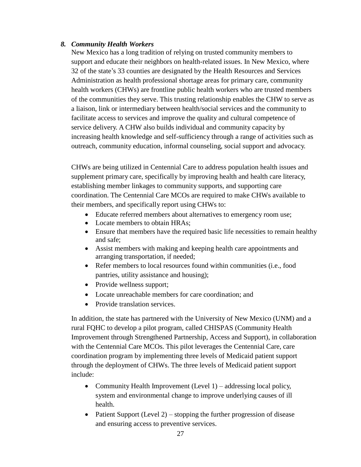#### *8. Community Health Workers*

New Mexico has a long tradition of relying on trusted community members to support and educate their neighbors on health-related issues. In New Mexico, where 32 of the state's 33 counties are designated by the Health Resources and Services Administration as health professional shortage areas for primary care, community health workers (CHWs) are frontline public health workers who are trusted members of the communities they serve. This trusting relationship enables the CHW to serve as a liaison, link or intermediary between health/social services and the community to facilitate access to services and improve the quality and cultural competence of service delivery. A CHW also builds individual and community capacity by increasing health knowledge and self-sufficiency through a range of activities such as outreach, community education, informal counseling, social support and advocacy.

CHWs are being utilized in Centennial Care to address population health issues and supplement primary care, specifically by improving health and health care literacy, establishing member linkages to community supports, and supporting care coordination. The Centennial Care MCOs are required to make CHWs available to their members, and specifically report using CHWs to:

- Educate referred members about alternatives to emergency room use;
- Locate members to obtain HRAs;
- Ensure that members have the required basic life necessities to remain healthy and safe;
- Assist members with making and keeping health care appointments and arranging transportation, if needed;
- Refer members to local resources found within communities (i.e., food pantries, utility assistance and housing);
- Provide wellness support;
- Locate unreachable members for care coordination; and
- Provide translation services.

In addition, the state has partnered with the University of New Mexico (UNM) and a rural FQHC to develop a pilot program, called CHISPAS (Community Health Improvement through Strengthened Partnership, Access and Support), in collaboration with the Centennial Care MCOs. This pilot leverages the Centennial Care, care coordination program by implementing three levels of Medicaid patient support through the deployment of CHWs. The three levels of Medicaid patient support include:

- Community Health Improvement (Level 1) addressing local policy, system and environmental change to improve underlying causes of ill health.
- Patient Support (Level 2) stopping the further progression of disease and ensuring access to preventive services.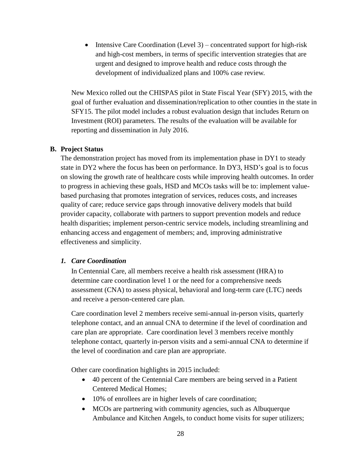• Intensive Care Coordination (Level 3) – concentrated support for high-risk and high-cost members, in terms of specific intervention strategies that are urgent and designed to improve health and reduce costs through the development of individualized plans and 100% case review.

New Mexico rolled out the CHISPAS pilot in State Fiscal Year (SFY) 2015, with the goal of further evaluation and dissemination/replication to other counties in the state in SFY15. The pilot model includes a robust evaluation design that includes Return on Investment (ROI) parameters. The results of the evaluation will be available for reporting and dissemination in July 2016.

#### **B. Project Status**

The demonstration project has moved from its implementation phase in DY1 to steady state in DY2 where the focus has been on performance. In DY3, HSD's goal is to focus on slowing the growth rate of healthcare costs while improving health outcomes. In order to progress in achieving these goals, HSD and MCOs tasks will be to: implement valuebased purchasing that promotes integration of services, reduces costs, and increases quality of care; reduce service gaps through innovative delivery models that build provider capacity, collaborate with partners to support prevention models and reduce health disparities; implement person-centric service models, including streamlining and enhancing access and engagement of members; and, improving administrative effectiveness and simplicity.

# *1. Care Coordination*

In Centennial Care, all members receive a health risk assessment (HRA) to determine care coordination level 1 or the need for a comprehensive needs assessment (CNA) to assess physical, behavioral and long-term care (LTC) needs and receive a person-centered care plan.

Care coordination level 2 members receive semi-annual in-person visits, quarterly telephone contact, and an annual CNA to determine if the level of coordination and care plan are appropriate. Care coordination level 3 members receive monthly telephone contact, quarterly in-person visits and a semi-annual CNA to determine if the level of coordination and care plan are appropriate.

Other care coordination highlights in 2015 included:

- 40 percent of the Centennial Care members are being served in a Patient Centered Medical Homes;
- 10% of enrollees are in higher levels of care coordination;
- MCOs are partnering with community agencies, such as Albuquerque Ambulance and Kitchen Angels, to conduct home visits for super utilizers;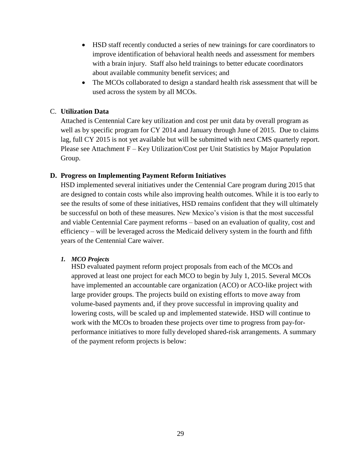- HSD staff recently conducted a series of new trainings for care coordinators to improve identification of behavioral health needs and assessment for members with a brain injury. Staff also held trainings to better educate coordinators about available community benefit services; and
- The MCOs collaborated to design a standard health risk assessment that will be used across the system by all MCOs.

#### C. **Utilization Data**

Attached is Centennial Care key utilization and cost per unit data by overall program as well as by specific program for CY 2014 and January through June of 2015. Due to claims lag, full CY 2015 is not yet available but will be submitted with next CMS quarterly report. Please see Attachment F – Key Utilization/Cost per Unit Statistics by Major Population Group.

#### **D. Progress on Implementing Payment Reform Initiatives**

HSD implemented several initiatives under the Centennial Care program during 2015 that are designed to contain costs while also improving health outcomes. While it is too early to see the results of some of these initiatives, HSD remains confident that they will ultimately be successful on both of these measures. New Mexico's vision is that the most successful and viable Centennial Care payment reforms – based on an evaluation of quality, cost and efficiency – will be leveraged across the Medicaid delivery system in the fourth and fifth years of the Centennial Care waiver.

#### *1. MCO Projects*

HSD evaluated payment reform project proposals from each of the MCOs and approved at least one project for each MCO to begin by July 1, 2015. Several MCOs have implemented an accountable care organization (ACO) or ACO-like project with large provider groups. The projects build on existing efforts to move away from volume-based payments and, if they prove successful in improving quality and lowering costs, will be scaled up and implemented statewide. HSD will continue to work with the MCOs to broaden these projects over time to progress from pay-forperformance initiatives to more fully developed shared-risk arrangements. A summary of the payment reform projects is below: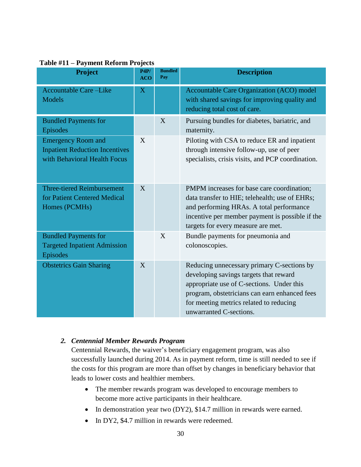| 1.4<br><b>Project</b>                                                                              | P4P/<br><b>ACO</b> | <b>Bundled</b><br>Pay | <b>Description</b>                                                                                                                                                                                                                                       |
|----------------------------------------------------------------------------------------------------|--------------------|-----------------------|----------------------------------------------------------------------------------------------------------------------------------------------------------------------------------------------------------------------------------------------------------|
| <b>Accountable Care-Like</b><br><b>Models</b>                                                      | $\mathbf X$        |                       | Accountable Care Organization (ACO) model<br>with shared savings for improving quality and<br>reducing total cost of care.                                                                                                                               |
| <b>Bundled Payments for</b><br>Episodes                                                            |                    | X                     | Pursuing bundles for diabetes, bariatric, and<br>maternity.                                                                                                                                                                                              |
| <b>Emergency Room and</b><br><b>Inpatient Reduction Incentives</b><br>with Behavioral Health Focus | X                  |                       | Piloting with CSA to reduce ER and inpatient<br>through intensive follow-up, use of peer<br>specialists, crisis visits, and PCP coordination.                                                                                                            |
| <b>Three-tiered Reimbursement</b><br>for Patient Centered Medical<br>Homes (PCMHs)                 | X                  |                       | PMPM increases for base care coordination;<br>data transfer to HIE; telehealth; use of EHRs;<br>and performing HRAs. A total performance<br>incentive per member payment is possible if the<br>targets for every measure are met.                        |
| <b>Bundled Payments for</b><br><b>Targeted Inpatient Admission</b><br>Episodes                     |                    | X                     | Bundle payments for pneumonia and<br>colonoscopies.                                                                                                                                                                                                      |
| <b>Obstetrics Gain Sharing</b>                                                                     | X                  |                       | Reducing unnecessary primary C-sections by<br>developing savings targets that reward<br>appropriate use of C-sections. Under this<br>program, obstetricians can earn enhanced fees<br>for meeting metrics related to reducing<br>unwarranted C-sections. |

#### **Table #11 – Payment Reform Projects**

#### *2. Centennial Member Rewards Program*

Centennial Rewards, the waiver's beneficiary engagement program, was also successfully launched during 2014. As in payment reform, time is still needed to see if the costs for this program are more than offset by changes in beneficiary behavior that leads to lower costs and healthier members.

- The member rewards program was developed to encourage members to become more active participants in their healthcare.
- In demonstration year two (DY2), \$14.7 million in rewards were earned.
- In DY2, \$4.7 million in rewards were redeemed.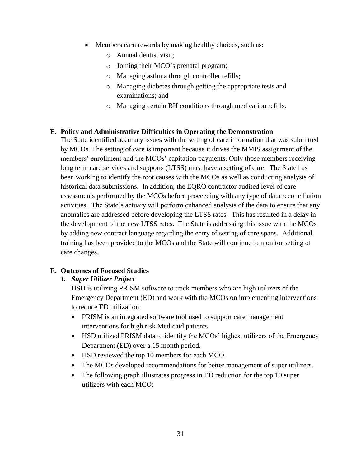- Members earn rewards by making healthy choices, such as:
	- o Annual dentist visit;
	- o Joining their MCO's prenatal program;
	- o Managing asthma through controller refills;
	- o Managing diabetes through getting the appropriate tests and examinations; and
	- o Managing certain BH conditions through medication refills.

#### **E. Policy and Administrative Difficulties in Operating the Demonstration**

The State identified accuracy issues with the setting of care information that was submitted by MCOs. The setting of care is important because it drives the MMIS assignment of the members' enrollment and the MCOs' capitation payments. Only those members receiving long term care services and supports (LTSS) must have a setting of care. The State has been working to identify the root causes with the MCOs as well as conducting analysis of historical data submissions. In addition, the EQRO contractor audited level of care assessments performed by the MCOs before proceeding with any type of data reconciliation activities. The State's actuary will perform enhanced analysis of the data to ensure that any anomalies are addressed before developing the LTSS rates. This has resulted in a delay in the development of the new LTSS rates. The State is addressing this issue with the MCOs by adding new contract language regarding the entry of setting of care spans. Additional training has been provided to the MCOs and the State will continue to monitor setting of care changes.

# **F. Outcomes of Focused Studies**

#### *1. Super Utilizer Project*

HSD is utilizing PRISM software to track members who are high utilizers of the Emergency Department (ED) and work with the MCOs on implementing interventions to reduce ED utilization.

- PRISM is an integrated software tool used to support care management interventions for high risk Medicaid patients.
- HSD utilized PRISM data to identify the MCOs' highest utilizers of the Emergency Department (ED) over a 15 month period.
- HSD reviewed the top 10 members for each MCO.
- The MCOs developed recommendations for better management of super utilizers.
- The following graph illustrates progress in ED reduction for the top 10 super utilizers with each MCO: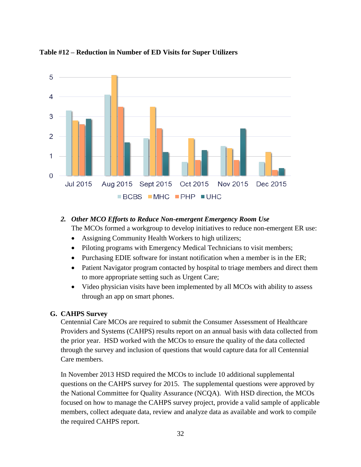

#### **Table #12 – Reduction in Number of ED Visits for Super Utilizers**

# *2. Other MCO Efforts to Reduce Non-emergent Emergency Room Use*

The MCOs formed a workgroup to develop initiatives to reduce non-emergent ER use:

- Assigning Community Health Workers to high utilizers;
- Piloting programs with Emergency Medical Technicians to visit members;
- Purchasing EDIE software for instant notification when a member is in the ER;
- Patient Navigator program contacted by hospital to triage members and direct them to more appropriate setting such as Urgent Care;
- Video physician visits have been implemented by all MCOs with ability to assess through an app on smart phones.

#### **G. CAHPS Survey**

Centennial Care MCOs are required to submit the Consumer Assessment of Healthcare Providers and Systems (CAHPS) results report on an annual basis with data collected from the prior year. HSD worked with the MCOs to ensure the quality of the data collected through the survey and inclusion of questions that would capture data for all Centennial Care members.

In November 2013 HSD required the MCOs to include 10 additional supplemental questions on the CAHPS survey for 2015. The supplemental questions were approved by the National Committee for Quality Assurance (NCQA). With HSD direction, the MCOs focused on how to manage the CAHPS survey project, provide a valid sample of applicable members, collect adequate data, review and analyze data as available and work to compile the required CAHPS report.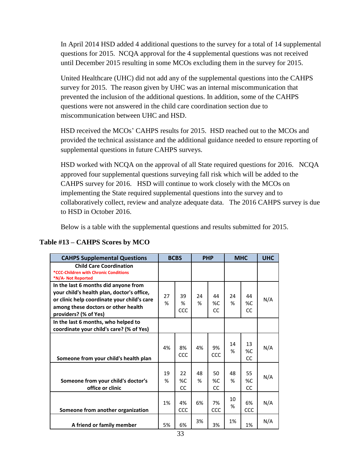In April 2014 HSD added 4 additional questions to the survey for a total of 14 supplemental questions for 2015. NCQA approval for the 4 supplemental questions was not received until December 2015 resulting in some MCOs excluding them in the survey for 2015.

United Healthcare (UHC) did not add any of the supplemental questions into the CAHPS survey for 2015. The reason given by UHC was an internal miscommunication that prevented the inclusion of the additional questions. In addition, some of the CAHPS questions were not answered in the child care coordination section due to miscommunication between UHC and HSD.

HSD received the MCOs' CAHPS results for 2015. HSD reached out to the MCOs and provided the technical assistance and the additional guidance needed to ensure reporting of supplemental questions in future CAHPS surveys.

HSD worked with NCQA on the approval of all State required questions for 2016. NCQA approved four supplemental questions surveying fall risk which will be added to the CAHPS survey for 2016. HSD will continue to work closely with the MCOs on implementing the State required supplemental questions into the survey and to collaboratively collect, review and analyze adequate data. The 2016 CAHPS survey is due to HSD in October 2016.

Below is a table with the supplemental questions and results submitted for 2015.

| <b>CAHPS Supplemental Questions</b>                                                                                                                                                               |         | <b>BCBS</b>       | <b>PHP</b> |                | <b>MHC</b> |                       | <b>UHC</b> |
|---------------------------------------------------------------------------------------------------------------------------------------------------------------------------------------------------|---------|-------------------|------------|----------------|------------|-----------------------|------------|
| <b>Child Care Coordination</b><br>*CCC-Children with Chronic Conditions<br>*N/A- Not Reported                                                                                                     |         |                   |            |                |            |                       |            |
| In the last 6 months did anyone from<br>your child's health plan, doctor's office,<br>or clinic help coordinate your child's care<br>among these doctors or other health<br>providers? (% of Yes) | 27<br>% | 39<br>%<br>CCC    | 24<br>%    | 44<br>%C<br>CC | 24<br>%    | 44<br>%C<br>CC        | N/A        |
| In the last 6 months, who helped to<br>coordinate your child's care? (% of Yes)                                                                                                                   |         |                   |            |                |            |                       |            |
| Someone from your child's health plan                                                                                                                                                             | 4%      | 8%<br>CCC         | 4%         | 9%<br>CCC      | 14<br>%    | 13<br>%C<br><b>CC</b> | N/A        |
| Someone from your child's doctor's<br>office or clinic                                                                                                                                            | 19<br>% | 22<br>$\%C$<br>CC | 48<br>%    | 50<br>%C<br>CC | 48<br>%    | 55<br>%C<br><b>CC</b> | N/A        |
| Someone from another organization                                                                                                                                                                 | 1%      | 4%<br>CCC         | 6%         | 7%<br>CCC      | 10<br>%    | 6%<br>CCC             | N/A        |
| A friend or family member                                                                                                                                                                         | 5%      | 6%                | 3%         | 3%             | 1%         | 1%                    | N/A        |

# **Table #13 – CAHPS Scores by MCO**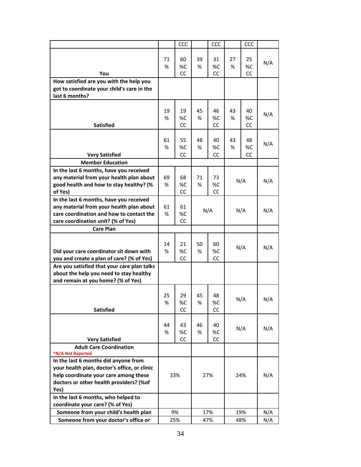|                                                     |     | CCC       |     | CCC |     | CCC |     |
|-----------------------------------------------------|-----|-----------|-----|-----|-----|-----|-----|
|                                                     |     |           |     |     |     |     |     |
|                                                     | 71  | 60        | 39  | 31  | 27  | 25  |     |
|                                                     | %   | %C        | %   | %C  | %   | %C  | N/A |
| You                                                 |     | CC        |     | CC  |     | CC  |     |
| How satisfied are you with the help you             |     |           |     |     |     |     |     |
| got to coordinate your child's care in the          |     |           |     |     |     |     |     |
| last 6 months?                                      |     |           |     |     |     |     |     |
|                                                     |     |           |     |     |     |     |     |
|                                                     | 19  | 19        | 45  | 46  | 43  | 40  |     |
|                                                     | %   | %C        | %   | %C  | %   | %C  | N/A |
| <b>Satisfied</b>                                    |     | <b>CC</b> |     | CС  |     | CC  |     |
|                                                     |     |           |     |     |     |     |     |
|                                                     | 61  | 55        | 48  | 40  | 43  | 48  |     |
|                                                     | %   | %C        | ℅   | %C  | ℅   | %C  | N/A |
| <b>Very Satisfied</b>                               |     | CC        |     | CС  |     | CC  |     |
| <b>Member Education</b>                             |     |           |     |     |     |     |     |
| In the last 6 months, have you received             |     |           |     |     |     |     |     |
| any material from your health plan about            | 69  | 68        | 71  | 73  |     |     |     |
| good health and how to stay healthy? (%             | ℅   | %C        | %   | %C  |     | N/A | N/A |
| of Yes)                                             |     | CC        |     | СC  |     |     |     |
| In the last 6 months, have you received             |     |           |     |     |     |     |     |
| any material from your health plan about            | 61  | 61        |     |     |     |     |     |
| care coordination and how to contact the            | ℅   | %C        |     | N/A | N/A |     | N/A |
| care coordination unit? (% of Yes)                  |     | CC        |     |     |     |     |     |
| <b>Care Plan</b>                                    |     |           |     |     |     |     |     |
|                                                     |     |           |     |     |     |     |     |
|                                                     | 14  | 21        | 50  | 60  |     |     | N/A |
| Did your care coordinator sit down with             | %   | %C        | %   | %C  | N/A |     |     |
| you and create a plan of care? (% of Yes)           |     | CC        |     | CC  |     |     |     |
| Are you satisfied that your care plan talks         |     |           |     |     |     |     |     |
| about the help you need to stay healthy             |     |           |     |     |     |     |     |
| and remain at you home? (% of Yes)                  |     |           |     |     |     |     |     |
|                                                     |     |           |     |     |     |     |     |
|                                                     | 25  | 29        | 45  | 48  |     | N/A | N/A |
|                                                     | %   | %C        | %   | %C  |     |     |     |
| <b>Satisfied</b>                                    |     | CC        |     | CC  |     |     |     |
|                                                     |     |           |     |     |     |     |     |
|                                                     | 44  | 43        | 46  | 40  |     | N/A | N/A |
|                                                     | %   | %C        | %   | %C  |     |     |     |
| <b>Very Satisfied</b>                               |     | CC        |     | CC  |     |     |     |
| <b>Adult Care Coordination</b><br>*N/A-Not Reported |     |           |     |     |     |     |     |
| In the last 6 months did anyone from                |     |           |     |     |     |     |     |
| your health plan, doctor's office, or clinic        |     |           |     |     |     |     |     |
| help coordinate your care among these               |     | 33%       |     | 27% | 24% |     | N/A |
| doctors or other health providers? (%of             |     |           |     |     |     |     |     |
| Yes)                                                |     |           |     |     |     |     |     |
| In the last 6 months, who helped to                 |     |           |     |     |     |     |     |
| coordinate your care? (% of Yes)                    |     |           |     |     |     |     |     |
| Someone from your child's health plan               |     | 9%        |     | 17% |     | 19% | N/A |
| Someone from your doctor's office or                |     |           |     |     |     |     | N/A |
|                                                     | 25% |           | 47% |     | 48% |     |     |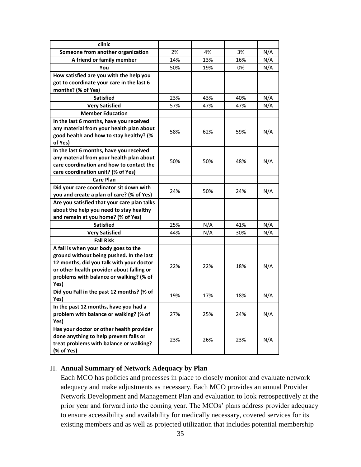| clinic                                                                               |     |     |     |     |
|--------------------------------------------------------------------------------------|-----|-----|-----|-----|
| Someone from another organization                                                    | 2%  | 4%  | 3%  | N/A |
| A friend or family member                                                            | 14% | 13% | 16% | N/A |
| You                                                                                  | 50% | 19% | 0%  | N/A |
| How satisfied are you with the help you                                              |     |     |     |     |
| got to coordinate your care in the last 6                                            |     |     |     |     |
| months? (% of Yes)                                                                   |     |     |     |     |
| <b>Satisfied</b>                                                                     | 23% | 43% | 40% | N/A |
| <b>Very Satisfied</b>                                                                | 57% | 47% | 47% | N/A |
| <b>Member Education</b>                                                              |     |     |     |     |
| In the last 6 months, have you received                                              |     |     |     |     |
| any material from your health plan about                                             | 58% | 62% | 59% | N/A |
| good health and how to stay healthy? (%                                              |     |     |     |     |
| of Yes)                                                                              |     |     |     |     |
| In the last 6 months, have you received                                              |     |     |     |     |
| any material from your health plan about                                             | 50% | 50% | 48% | N/A |
| care coordination and how to contact the                                             |     |     |     |     |
| care coordination unit? (% of Yes)                                                   |     |     |     |     |
| <b>Care Plan</b>                                                                     |     |     |     |     |
| Did your care coordinator sit down with                                              | 24% | 50% | 24% | N/A |
| you and create a plan of care? (% of Yes)                                            |     |     |     |     |
| Are you satisfied that your care plan talks                                          |     |     |     |     |
| about the help you need to stay healthy                                              |     |     |     |     |
| and remain at you home? (% of Yes)                                                   |     |     |     |     |
| <b>Satisfied</b>                                                                     | 25% | N/A | 41% | N/A |
| <b>Very Satisfied</b>                                                                | 44% | N/A | 30% | N/A |
| <b>Fall Risk</b>                                                                     |     |     |     |     |
| A fall is when your body goes to the                                                 |     |     |     |     |
| ground without being pushed. In the last                                             |     |     |     |     |
| 12 months, did you talk with your doctor                                             | 22% | 22% | 18% | N/A |
| or other health provider about falling or<br>problems with balance or walking? (% of |     |     |     |     |
| Yes)                                                                                 |     |     |     |     |
| Did you Fall in the past 12 months? (% of                                            |     |     |     |     |
| Yes)                                                                                 | 19% | 17% | 18% | N/A |
| In the past 12 months, have you had a                                                |     |     |     |     |
| problem with balance or walking? (% of                                               | 27% | 25% | 24% | N/A |
| Yes)                                                                                 |     |     |     |     |
| Has your doctor or other health provider                                             |     |     |     |     |
| done anything to help prevent falls or                                               | 23% | 26% | 23% | N/A |
| treat problems with balance or walking?                                              |     |     |     |     |
| (% of Yes)                                                                           |     |     |     |     |

# H. **Annual Summary of Network Adequacy by Plan**

Each MCO has policies and processes in place to closely monitor and evaluate network adequacy and make adjustments as necessary. Each MCO provides an annual Provider Network Development and Management Plan and evaluation to look retrospectively at the prior year and forward into the coming year. The MCOs' plans address provider adequacy to ensure accessibility and availability for medically necessary, covered services for its existing members and as well as projected utilization that includes potential membership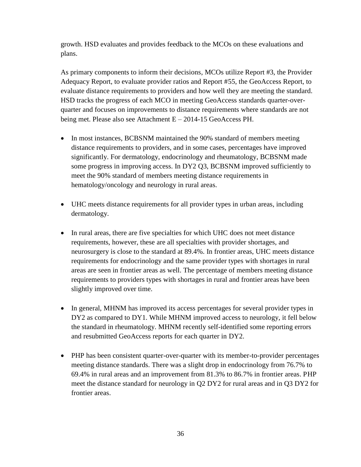growth. HSD evaluates and provides feedback to the MCOs on these evaluations and plans.

As primary components to inform their decisions, MCOs utilize Report #3, the Provider Adequacy Report, to evaluate provider ratios and Report #55, the GeoAccess Report, to evaluate distance requirements to providers and how well they are meeting the standard. HSD tracks the progress of each MCO in meeting GeoAccess standards quarter-overquarter and focuses on improvements to distance requirements where standards are not being met. Please also see Attachment E – 2014-15 GeoAccess PH.

- In most instances, BCBSNM maintained the 90% standard of members meeting distance requirements to providers, and in some cases, percentages have improved significantly. For dermatology, endocrinology and rheumatology, BCBSNM made some progress in improving access. In DY2 Q3, BCBSNM improved sufficiently to meet the 90% standard of members meeting distance requirements in hematology/oncology and neurology in rural areas.
- UHC meets distance requirements for all provider types in urban areas, including dermatology.
- In rural areas, there are five specialties for which UHC does not meet distance requirements, however, these are all specialties with provider shortages, and neurosurgery is close to the standard at 89.4%. In frontier areas, UHC meets distance requirements for endocrinology and the same provider types with shortages in rural areas are seen in frontier areas as well. The percentage of members meeting distance requirements to providers types with shortages in rural and frontier areas have been slightly improved over time.
- In general, MHNM has improved its access percentages for several provider types in DY2 as compared to DY1. While MHNM improved access to neurology, it fell below the standard in rheumatology. MHNM recently self-identified some reporting errors and resubmitted GeoAccess reports for each quarter in DY2.
- PHP has been consistent quarter-over-quarter with its member-to-provider percentages meeting distance standards. There was a slight drop in endocrinology from 76.7% to 69.4% in rural areas and an improvement from 81.3% to 86.7% in frontier areas. PHP meet the distance standard for neurology in Q2 DY2 for rural areas and in Q3 DY2 for frontier areas.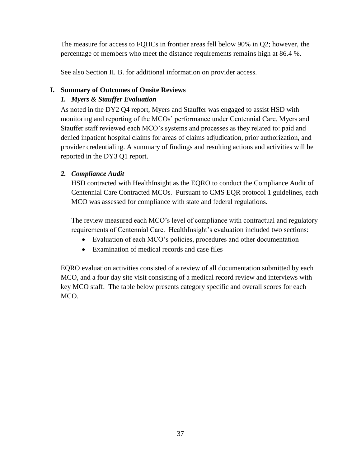The measure for access to FQHCs in frontier areas fell below 90% in Q2; however, the percentage of members who meet the distance requirements remains high at 86.4 %.

See also Section II. B. for additional information on provider access.

# **I. Summary of Outcomes of Onsite Reviews**

# *1. Myers & Stauffer Evaluation*

As noted in the DY2 Q4 report, Myers and Stauffer was engaged to assist HSD with monitoring and reporting of the MCOs' performance under Centennial Care. Myers and Stauffer staff reviewed each MCO's systems and processes as they related to: paid and denied inpatient hospital claims for areas of claims adjudication, prior authorization, and provider credentialing. A summary of findings and resulting actions and activities will be reported in the DY3 Q1 report.

# *2. Compliance Audit*

HSD contracted with HealthInsight as the EQRO to conduct the Compliance Audit of Centennial Care Contracted MCOs. Pursuant to CMS EQR protocol 1 guidelines, each MCO was assessed for compliance with state and federal regulations.

The review measured each MCO's level of compliance with contractual and regulatory requirements of Centennial Care. HealthInsight's evaluation included two sections:

- Evaluation of each MCO's policies, procedures and other documentation
- Examination of medical records and case files

EQRO evaluation activities consisted of a review of all documentation submitted by each MCO, and a four day site visit consisting of a medical record review and interviews with key MCO staff. The table below presents category specific and overall scores for each MCO.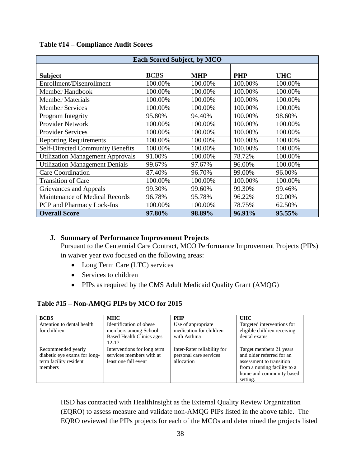| <b>Each Scored Subject, by MCO</b>      |             |            |            |            |  |
|-----------------------------------------|-------------|------------|------------|------------|--|
| <b>Subject</b>                          | <b>BCBS</b> | <b>MHP</b> | <b>PHP</b> | <b>UHC</b> |  |
| Enrollment/Disenrollment                | 100.00%     | 100.00%    | 100.00%    | 100.00%    |  |
| Member Handbook                         | 100.00%     | 100.00%    | 100.00%    | 100.00%    |  |
| <b>Member Materials</b>                 | 100.00%     | 100.00%    | 100.00%    | 100.00%    |  |
| <b>Member Services</b>                  | 100.00%     | 100.00%    | 100.00%    | 100.00%    |  |
| Program Integrity                       | 95.80%      | 94.40%     | 100.00%    | 98.60%     |  |
| Provider Network                        | 100.00%     | 100.00%    | 100.00%    | 100.00%    |  |
| <b>Provider Services</b>                | 100.00%     | 100.00%    | 100.00%    | 100.00%    |  |
| <b>Reporting Requirements</b>           | 100.00%     | 100.00%    | 100.00%    | 100.00%    |  |
| <b>Self-Directed Community Benefits</b> | 100.00%     | 100.00%    | 100.00%    | 100.00%    |  |
| <b>Utilization Management Approvals</b> | 91.00%      | 100.00%    | 78.72%     | 100.00%    |  |
| <b>Utilization Management Denials</b>   | 99.67%      | 97.67%     | 96.00%     | 100.00%    |  |
| <b>Care Coordination</b>                | 87.40%      | 96.70%     | 99.00%     | 96.00%     |  |
| <b>Transition of Care</b>               | 100.00%     | 100.00%    | 100.00%    | 100.00%    |  |
| Grievances and Appeals                  | 99.30%      | 99.60%     | 99.30%     | 99.46%     |  |
| Maintenance of Medical Records          | 96.78%      | 95.78%     | 96.22%     | 92.00%     |  |
| PCP and Pharmacy Lock-Ins               | 100.00%     | 100.00%    | 78.75%     | 62.50%     |  |
| <b>Overall Score</b>                    | 97.80%      | 98.89%     | 96.91%     | 95.55%     |  |

#### **Table #14 – Compliance Audit Scores**

#### **J. Summary of Performance Improvement Projects**

Pursuant to the Centennial Care Contract, MCO Performance Improvement Projects (PIPs) in waiver year two focused on the following areas:

- Long Term Care (LTC) services
- Services to children
- PIPs as required by the CMS Adult Medicaid Quality Grant (AMQG)

#### **Table #15 – Non-AMQG PIPs by MCO for 2015**

| <b>BCBS</b>                                                                             | <b>MHC</b>                                                                                       | <b>PHP</b>                                                          | <b>UHC</b>                                                                                                                                               |
|-----------------------------------------------------------------------------------------|--------------------------------------------------------------------------------------------------|---------------------------------------------------------------------|----------------------------------------------------------------------------------------------------------------------------------------------------------|
| Attention to dental health<br>for children                                              | Identification of obese<br>members among School<br><b>Based Health Clinics ages</b><br>$12 - 17$ | Use of appropriate<br>medication for children<br>with Asthma        | Targeted interventions for<br>eligible children receiving<br>dental exams                                                                                |
| Recommended yearly<br>diabetic eye exams for long-<br>term facility resident<br>members | Interventions for long term<br>services members with at<br>least one fall event                  | Inter-Rater reliability for<br>personal care services<br>allocation | Target members 21 years<br>and older referred for an<br>assessment to transition<br>from a nursing facility to a<br>home and community based<br>setting. |

HSD has contracted with HealthInsight as the External Quality Review Organization (EQRO) to assess measure and validate non-AMQG PIPs listed in the above table. The EQRO reviewed the PIPs projects for each of the MCOs and determined the projects listed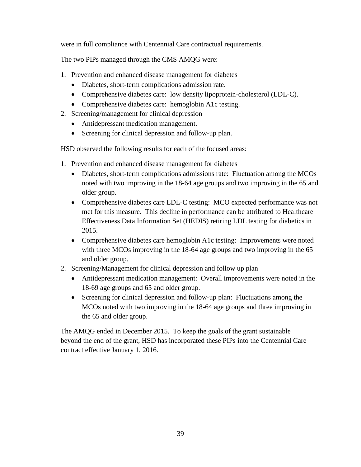were in full compliance with Centennial Care contractual requirements.

The two PIPs managed through the CMS AMQG were:

- 1. Prevention and enhanced disease management for diabetes
	- Diabetes, short-term complications admission rate.
	- Comprehensive diabetes care: low density lipoprotein-cholesterol (LDL-C).
	- Comprehensive diabetes care: hemoglobin A1c testing.
- 2. Screening/management for clinical depression
	- Antidepressant medication management.
	- Screening for clinical depression and follow-up plan.

HSD observed the following results for each of the focused areas:

- 1. Prevention and enhanced disease management for diabetes
	- Diabetes, short-term complications admissions rate: Fluctuation among the MCOs noted with two improving in the 18-64 age groups and two improving in the 65 and older group.
	- Comprehensive diabetes care LDL-C testing: MCO expected performance was not met for this measure. This decline in performance can be attributed to Healthcare Effectiveness Data Information Set (HEDIS) retiring LDL testing for diabetics in 2015.
	- Comprehensive diabetes care hemoglobin A1c testing: Improvements were noted with three MCOs improving in the 18-64 age groups and two improving in the 65 and older group.
- 2. Screening/Management for clinical depression and follow up plan
	- Antidepressant medication management: Overall improvements were noted in the 18-69 age groups and 65 and older group.
	- Screening for clinical depression and follow-up plan: Fluctuations among the MCOs noted with two improving in the 18-64 age groups and three improving in the 65 and older group.

The AMQG ended in December 2015. To keep the goals of the grant sustainable beyond the end of the grant, HSD has incorporated these PIPs into the Centennial Care contract effective January 1, 2016.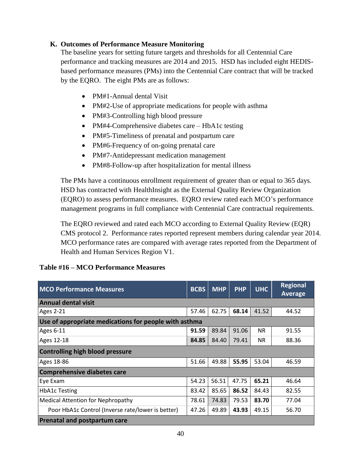# **K. Outcomes of Performance Measure Monitoring**

The baseline years for setting future targets and thresholds for all Centennial Care performance and tracking measures are 2014 and 2015. HSD has included eight HEDISbased performance measures (PMs) into the Centennial Care contract that will be tracked by the EQRO. The eight PMs are as follows:

- PM#1-Annual dental Visit
- PM#2-Use of appropriate medications for people with asthma
- PM#3-Controlling high blood pressure
- PM#4-Comprehensive diabetes care HbA1c testing
- PM#5-Timeliness of prenatal and postpartum care
- PM#6-Frequency of on-going prenatal care
- PM#7-Antidepressant medication management
- PM#8-Follow-up after hospitalization for mental illness

The PMs have a continuous enrollment requirement of greater than or equal to 365 days. HSD has contracted with HealthInsight as the External Quality Review Organization (EQRO) to assess performance measures. EQRO review rated each MCO's performance management programs in full compliance with Centennial Care contractual requirements.

The EQRO reviewed and rated each MCO according to External Quality Review (EQR) CMS protocol 2. Performance rates reported represent members during calendar year 2014. MCO performance rates are compared with average rates reported from the Department of Health and Human Services Region V1.

| <b>MCO Performance Measures</b>                       | <b>BCBS</b> | <b>MHP</b> | <b>PHP</b> | <b>UHC</b> | <b>Regional</b><br>Average |
|-------------------------------------------------------|-------------|------------|------------|------------|----------------------------|
| <b>Annual dental visit</b>                            |             |            |            |            |                            |
| <b>Ages 2-21</b>                                      | 57.46       | 62.75      | 68.14      | 41.52      | 44.52                      |
| Use of appropriate medications for people with asthma |             |            |            |            |                            |
| <b>Ages 6-11</b>                                      | 91.59       | 89.84      | 91.06      | <b>NR</b>  | 91.55                      |
| Ages 12-18                                            | 84.85       | 84.40      | 79.41      | <b>NR</b>  | 88.36                      |
| <b>Controlling high blood pressure</b>                |             |            |            |            |                            |
| Ages 18-86                                            | 51.66       | 49.88      | 55.95      | 53.04      | 46.59                      |
| <b>Comprehensive diabetes care</b>                    |             |            |            |            |                            |
| Eye Exam                                              | 54.23       | 56.51      | 47.75      | 65.21      | 46.64                      |
| <b>HbA1c Testing</b>                                  | 83.42       | 85.65      | 86.52      | 84.43      | 82.55                      |
| <b>Medical Attention for Nephropathy</b>              | 78.61       | 74.83      | 79.53      | 83.70      | 77.04                      |
| Poor HbA1c Control (Inverse rate/lower is better)     | 47.26       | 49.89      | 43.93      | 49.15      | 56.70                      |
| <b>Prenatal and postpartum care</b>                   |             |            |            |            |                            |

# **Table #16 – MCO Performance Measures**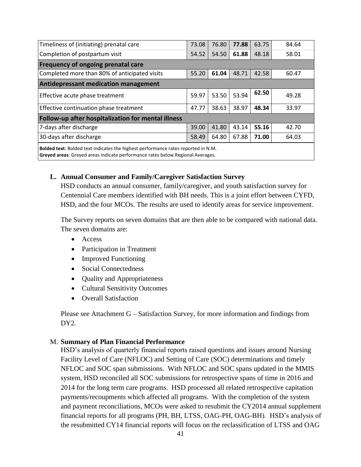| Timeliness of (initiating) prenatal care                                          | 73.08 | 76.80 | 77.88 | 63.75 | 84.64 |  |
|-----------------------------------------------------------------------------------|-------|-------|-------|-------|-------|--|
| Completion of postpartum visit                                                    | 54.52 | 54.50 | 61.88 | 48.18 | 58.01 |  |
| <b>Frequency of ongoing prenatal care</b>                                         |       |       |       |       |       |  |
| Completed more than 80% of anticipated visits                                     | 55.20 | 61.04 | 48.71 | 42.58 | 60.47 |  |
| <b>Antidepressant medication management</b>                                       |       |       |       |       |       |  |
| Effective acute phase treatment                                                   | 59.97 | 53.50 | 53.94 | 62.50 | 49.28 |  |
| Effective continuation phase treatment                                            | 47.77 | 38.63 | 38.97 | 48.34 | 33.97 |  |
| Follow-up after hospitalization for mental illness                                |       |       |       |       |       |  |
| 7-days after discharge                                                            | 39.00 | 41.80 | 43.14 | 55.16 | 42.70 |  |
| 30-days after discharge<br>67.88<br>58.49<br>71.00<br>64.80<br>64.03              |       |       |       |       |       |  |
| Bolded text: Bolded text indicates the highest performance rates reported in N.M. |       |       |       |       |       |  |

**Greyed areas**: Greyed areas indicate performance rates below Regional Averages.

#### **L. Annual Consumer and Family/Caregiver Satisfaction Survey**

HSD conducts an annual consumer, family/caregiver, and youth satisfaction survey for Centennial Care members identified with BH needs. This is a joint effort between CYFD, HSD, and the four MCOs. The results are used to identify areas for service improvement.

The Survey reports on seven domains that are then able to be compared with national data. The seven domains are:

- Access
- Participation in Treatment
- Improved Functioning
- Social Connectedness
- Quality and Appropriateness
- Cultural Sensitivity Outcomes
- Overall Satisfaction

Please see Attachment G – Satisfaction Survey, for more information and findings from DY2.

#### M. **Summary of Plan Financial Performance**

HSD's analysis of quarterly financial reports raised questions and issues around Nursing Facility Level of Care (NFLOC) and Setting of Care (SOC) determinations and timely NFLOC and SOC span submissions. With NFLOC and SOC spans updated in the MMIS system, HSD reconciled all SOC submissions for retrospective spans of time in 2016 and 2014 for the long term care programs. HSD processed all related retrospective capitation payments/recoupments which affected all programs. With the completion of the system and payment reconciliations, MCOs were asked to resubmit the CY2014 annual supplement financial reports for all programs (PH, BH, LTSS, OAG-PH, OAG-BH). HSD's analysis of the resubmitted CY14 financial reports will focus on the reclassification of LTSS and OAG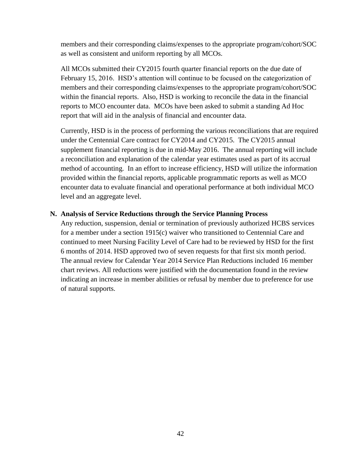members and their corresponding claims/expenses to the appropriate program/cohort/SOC as well as consistent and uniform reporting by all MCOs.

All MCOs submitted their CY2015 fourth quarter financial reports on the due date of February 15, 2016. HSD's attention will continue to be focused on the categorization of members and their corresponding claims/expenses to the appropriate program/cohort/SOC within the financial reports. Also, HSD is working to reconcile the data in the financial reports to MCO encounter data. MCOs have been asked to submit a standing Ad Hoc report that will aid in the analysis of financial and encounter data.

Currently, HSD is in the process of performing the various reconciliations that are required under the Centennial Care contract for CY2014 and CY2015. The CY2015 annual supplement financial reporting is due in mid-May 2016. The annual reporting will include a reconciliation and explanation of the calendar year estimates used as part of its accrual method of accounting. In an effort to increase efficiency, HSD will utilize the information provided within the financial reports, applicable programmatic reports as well as MCO encounter data to evaluate financial and operational performance at both individual MCO level and an aggregate level.

#### **N. Analysis of Service Reductions through the Service Planning Process**

Any reduction, suspension, denial or termination of previously authorized HCBS services for a member under a section 1915(c) waiver who transitioned to Centennial Care and continued to meet Nursing Facility Level of Care had to be reviewed by HSD for the first 6 months of 2014. HSD approved two of seven requests for that first six month period. The annual review for Calendar Year 2014 Service Plan Reductions included 16 member chart reviews. All reductions were justified with the documentation found in the review indicating an increase in member abilities or refusal by member due to preference for use of natural supports.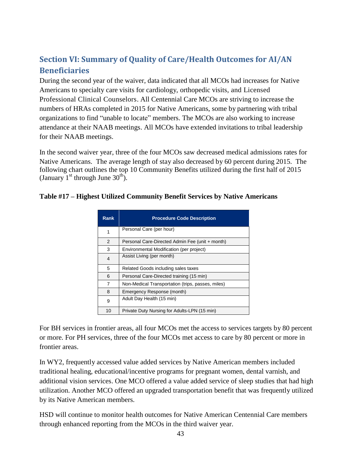# **Section VI: Summary of Quality of Care/Health Outcomes for AI/AN Beneficiaries**

During the second year of the waiver, data indicated that all MCOs had increases for Native Americans to specialty care visits for cardiology, orthopedic visits, and Licensed Professional Clinical Counselors. All Centennial Care MCOs are striving to increase the numbers of HRAs completed in 2015 for Native Americans, some by partnering with tribal organizations to find "unable to locate" members. The MCOs are also working to increase attendance at their NAAB meetings. All MCOs have extended invitations to tribal leadership for their NAAB meetings.

In the second waiver year, three of the four MCOs saw decreased medical admissions rates for Native Americans. The average length of stay also decreased by 60 percent during 2015. The following chart outlines the top 10 Community Benefits utilized during the first half of 2015 (January  $1^{st}$  through June  $30^{th}$ ).

| <b>Rank</b> | <b>Procedure Code Description</b>                 |
|-------------|---------------------------------------------------|
| 1           | Personal Care (per hour)                          |
| 2           | Personal Care-Directed Admin Fee (unit + month)   |
| 3           | Environmental Modification (per project)          |
| 4           | Assist Living (per month)                         |
| 5           | Related Goods including sales taxes               |
| 6           | Personal Care-Directed training (15 min)          |
| 7           | Non-Medical Transportation (trips, passes, miles) |
| 8           | Emergency Response (month)                        |
| 9           | Adult Day Health (15 min)                         |
| 10          | Private Duty Nursing for Adults-LPN (15 min)      |

# **Table #17 – Highest Utilized Community Benefit Services by Native Americans**

For BH services in frontier areas, all four MCOs met the access to services targets by 80 percent or more. For PH services, three of the four MCOs met access to care by 80 percent or more in frontier areas.

In WY2, frequently accessed value added services by Native American members included traditional healing, educational/incentive programs for pregnant women, dental varnish, and additional vision services. One MCO offered a value added service of sleep studies that had high utilization. Another MCO offered an upgraded transportation benefit that was frequently utilized by its Native American members.

HSD will continue to monitor health outcomes for Native American Centennial Care members through enhanced reporting from the MCOs in the third waiver year.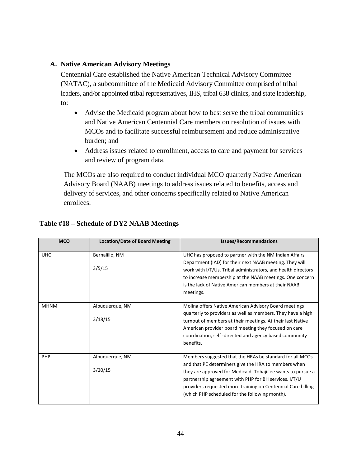#### **A. Native American Advisory Meetings**

Centennial Care established the Native American Technical Advisory Committee (NATAC), a subcommittee of the Medicaid Advisory Committee comprised of tribal leaders, and/or appointed tribal representatives, IHS, tribal 638 clinics, and state leadership, to:

- Advise the Medicaid program about how to best serve the tribal communities and Native American Centennial Care members on resolution of issues with MCOs and to facilitate successful reimbursement and reduce administrative burden; and
- Address issues related to enrollment, access to care and payment for services and review of program data.

The MCOs are also required to conduct individual MCO quarterly Native American Advisory Board (NAAB) meetings to address issues related to benefits, access and delivery of services, and other concerns specifically related to Native American enrollees.

| <b>MCO</b>  | <b>Location/Date of Board Meeting</b> | <b>Issues/Recommendations</b>                                                                                                                                                                                                                                                                                                                               |
|-------------|---------------------------------------|-------------------------------------------------------------------------------------------------------------------------------------------------------------------------------------------------------------------------------------------------------------------------------------------------------------------------------------------------------------|
| <b>UHC</b>  | Bernalillo, NM                        | UHC has proposed to partner with the NM Indian Affairs<br>Department (IAD) for their next NAAB meeting. They will                                                                                                                                                                                                                                           |
|             | 3/5/15                                | work with I/T/Us, Tribal administrators, and health directors<br>to increase membership at the NAAB meetings. One concern<br>is the lack of Native American members at their NAAB<br>meetings.                                                                                                                                                              |
| <b>MHNM</b> | Albuquerque, NM<br>3/18/15            | Molina offers Native American Advisory Board meetings<br>quarterly to providers as well as members. They have a high<br>turnout of members at their meetings. At their last Native<br>American provider board meeting they focused on care<br>coordination, self-directed and agency based community<br>benefits.                                           |
| PHP         | Albuquerque, NM<br>3/20/15            | Members suggested that the HRAs be standard for all MCOs<br>and that PE determiners give the HRA to members when<br>they are approved for Medicaid. Tohajiilee wants to pursue a<br>partnership agreement with PHP for BH services. I/T/U<br>providers requested more training on Centennial Care billing<br>(which PHP scheduled for the following month). |

# **Table #18 – Schedule of DY2 NAAB Meetings**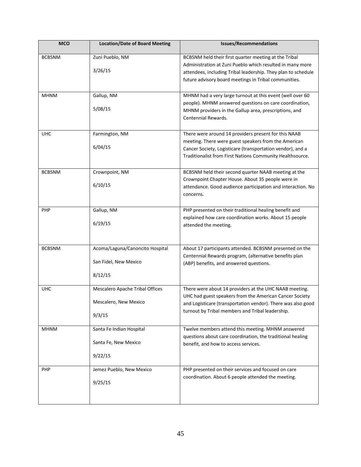| <b>MCO</b>    | <b>Location/Date of Board Meeting</b>                               | <b>Issues/Recommendations</b>                                                                                                                                                                                                                |
|---------------|---------------------------------------------------------------------|----------------------------------------------------------------------------------------------------------------------------------------------------------------------------------------------------------------------------------------------|
| <b>BCBSNM</b> | Zuni Pueblo, NM<br>3/26/15                                          | BCBSNM held their first quarter meeting at the Tribal<br>Administration at Zuni Pueblo which resulted in many more<br>attendees, including Tribal leadership. They plan to schedule<br>future advisory board meetings in Tribal communities. |
| <b>MHNM</b>   | Gallup, NM<br>5/08/15                                               | MHNM had a very large turnout at this event (well over 60<br>people). MHNM answered questions on care coordination,<br>MHNM providers in the Gallup area, prescriptions, and<br>Centennial Rewards.                                          |
| <b>UHC</b>    | Farmington, NM<br>6/04/15                                           | There were around 14 providers present for this NAAB<br>meeting. There were guest speakers from the American<br>Cancer Society, Logisticare (transportation vendor), and a<br>Traditionalist from First Nations Community Healthsource.      |
| <b>BCBSNM</b> | Crownpoint, NM<br>6/10/15                                           | BCBSNM held their second quarter NAAB meeting at the<br>Crownpoint Chapter House. About 35 people were in<br>attendance. Good audience participation and interaction. No<br>concerns.                                                        |
| <b>PHP</b>    | Gallup, NM<br>6/19/15                                               | PHP presented on their traditional healing benefit and<br>explained how care coordination works. About 15 people<br>attended the meeting.                                                                                                    |
| <b>BCBSNM</b> | Acoma/Laguna/Canoncito Hospital<br>San Fidel, New Mexico<br>8/12/15 | About 17 participants attended. BCBSNM presented on the<br>Centennial Rewards program, (alternative benefits plan<br>(ABP) benefits, and answered questions.                                                                                 |
| <b>UHC</b>    | Mescalero Apache Tribal Offices<br>Mescalero, New Mexico<br>9/3/15  | There were about 14 providers at the UHC NAAB meeting.<br>UHC had guest speakers from the American Cancer Society<br>and Logisticare (transportation vendor). There was also good<br>turnout by Tribal members and Tribal leadership.        |
| <b>MHNM</b>   | Santa Fe Indian Hospital<br>Santa Fe, New Mexico<br>9/22/15         | Twelve members attend this meeting. MHNM answered<br>questions about care coordination, the traditional healing<br>benefit, and how to access services.                                                                                      |
| <b>PHP</b>    | Jemez Pueblo, New Mexico<br>9/25/15                                 | PHP presented on their services and focused on care<br>coordination. About 6 people attended the meeting.                                                                                                                                    |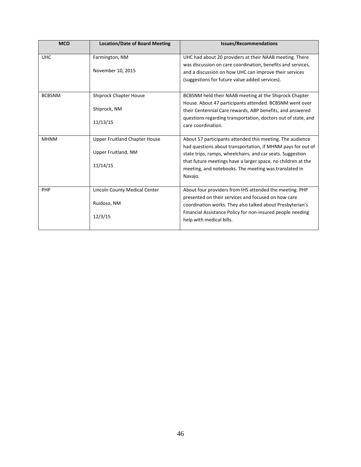| <b>MCO</b>    | <b>Location/Date of Board Meeting</b>                                   | <b>Issues/Recommendations</b>                                                                                                                                                                                                                                                                                              |
|---------------|-------------------------------------------------------------------------|----------------------------------------------------------------------------------------------------------------------------------------------------------------------------------------------------------------------------------------------------------------------------------------------------------------------------|
| <b>UHC</b>    | Farmington, NM<br>November 10, 2015                                     | UHC had about 20 providers at their NAAB meeting. There<br>was discussion on care coordination, benefits and services,<br>and a discussion on how UHC can improve their services<br>(suggestions for future value added services).                                                                                         |
| <b>BCBSNM</b> | <b>Shiprock Chapter House</b><br>Shiprock, NM<br>11/13/15               | BCBSNM held their NAAB meeting at the Shiprock Chapter<br>House. About 47 participants attended. BCBSNM went over<br>their Centennial Care rewards, ABP benefits, and answered<br>questions regarding transportation, doctors out of state, and<br>care coordination.                                                      |
| <b>MHNM</b>   | <b>Upper Fruitland Chapter House</b><br>Upper Fruitland, NM<br>11/14/15 | About 57 participants attended this meeting. The audience<br>had questions about transportation, if MHNM pays for out of<br>state trips, ramps, wheelchairs, and car seats. Suggestion<br>that future meetings have a larger space, no children at the<br>meeting, and notebooks. The meeting was translated in<br>Navajo. |
| PHP           | Lincoln County Medical Center<br>Ruidoso, NM<br>12/3/15                 | About four providers from IHS attended the meeting. PHP<br>presented on their services and focused on how care<br>coordination works. They also talked about Presbyterian's<br>Financial Assistance Policy for non-insured people needing<br>help with medical bills.                                                      |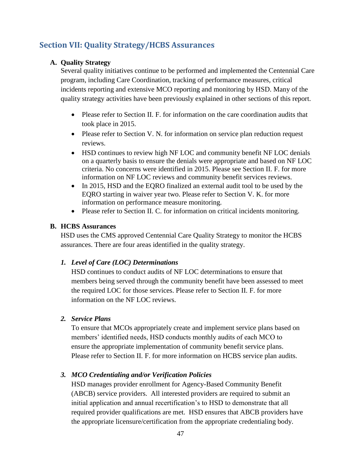# **Section VII: Quality Strategy/HCBS Assurances**

# **A. Quality Strategy**

Several quality initiatives continue to be performed and implemented the Centennial Care program, including Care Coordination, tracking of performance measures, critical incidents reporting and extensive MCO reporting and monitoring by HSD. Many of the quality strategy activities have been previously explained in other sections of this report.

- Please refer to Section II. F. for information on the care coordination audits that took place in 2015.
- Please refer to Section V. N. for information on service plan reduction request reviews.
- HSD continues to review high NF LOC and community benefit NF LOC denials on a quarterly basis to ensure the denials were appropriate and based on NF LOC criteria. No concerns were identified in 2015. Please see Section II. F. for more information on NF LOC reviews and community benefit services reviews.
- In 2015, HSD and the EQRO finalized an external audit tool to be used by the EQRO starting in waiver year two. Please refer to Section V. K. for more information on performance measure monitoring.
- Please refer to Section II. C. for information on critical incidents monitoring.

# **B. HCBS Assurances**

HSD uses the CMS approved Centennial Care Quality Strategy to monitor the HCBS assurances. There are four areas identified in the quality strategy.

# *1. Level of Care (LOC) Determinations*

HSD continues to conduct audits of NF LOC determinations to ensure that members being served through the community benefit have been assessed to meet the required LOC for those services. Please refer to Section II. F. for more information on the NF LOC reviews.

# *2. Service Plans*

To ensure that MCOs appropriately create and implement service plans based on members' identified needs, HSD conducts monthly audits of each MCO to ensure the appropriate implementation of community benefit service plans. Please refer to Section II. F. for more information on HCBS service plan audits.

# *3. MCO Credentialing and/or Verification Policies*

HSD manages provider enrollment for Agency-Based Community Benefit (ABCB) service providers. All interested providers are required to submit an initial application and annual recertification's to HSD to demonstrate that all required provider qualifications are met. HSD ensures that ABCB providers have the appropriate licensure/certification from the appropriate credentialing body.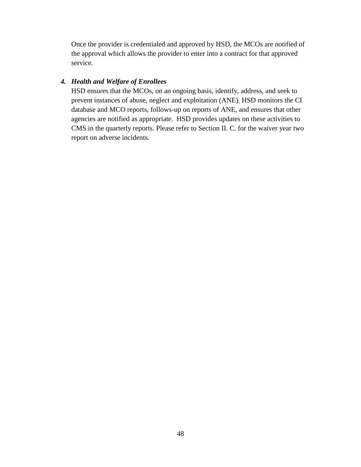Once the provider is credentialed and approved by HSD, the MCOs are notified of the approval which allows the provider to enter into a contract for that approved service.

#### *4. Health and Welfare of Enrollees*

HSD ensures that the MCOs, on an ongoing basis, identify, address, and seek to prevent instances of abuse, neglect and exploitation (ANE). HSD monitors the CI database and MCO reports, follows-up on reports of ANE, and ensures that other agencies are notified as appropriate. HSD provides updates on these activities to CMS in the quarterly reports. Please refer to Section II. C. for the waiver year two report on adverse incidents.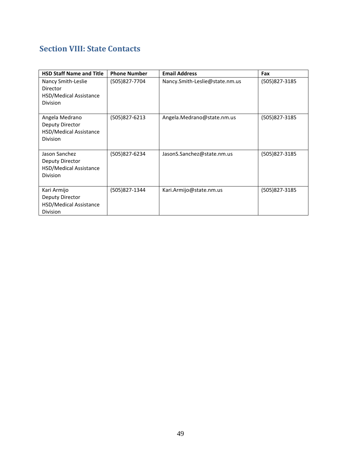# **Section VIII: State Contacts**

| <b>HSD Staff Name and Title</b>                                                | <b>Phone Number</b> | <b>Email Address</b>           | Fax           |
|--------------------------------------------------------------------------------|---------------------|--------------------------------|---------------|
| Nancy Smith-Leslie<br>Director<br>HSD/Medical Assistance<br><b>Division</b>    | (505)827-7704       | Nancy.Smith-Leslie@state.nm.us | (505)827-3185 |
| Angela Medrano<br>Deputy Director<br>HSD/Medical Assistance<br><b>Division</b> | (505)827-6213       | Angela.Medrano@state.nm.us     | (505)827-3185 |
| Jason Sanchez<br>Deputy Director<br>HSD/Medical Assistance<br><b>Division</b>  | (505)827-6234       | JasonS.Sanchez@state.nm.us     | (505)827-3185 |
| Kari Armijo<br>Deputy Director<br>HSD/Medical Assistance<br><b>Division</b>    | (505)827-1344       | Kari.Armijo@state.nm.us        | (505)827-3185 |